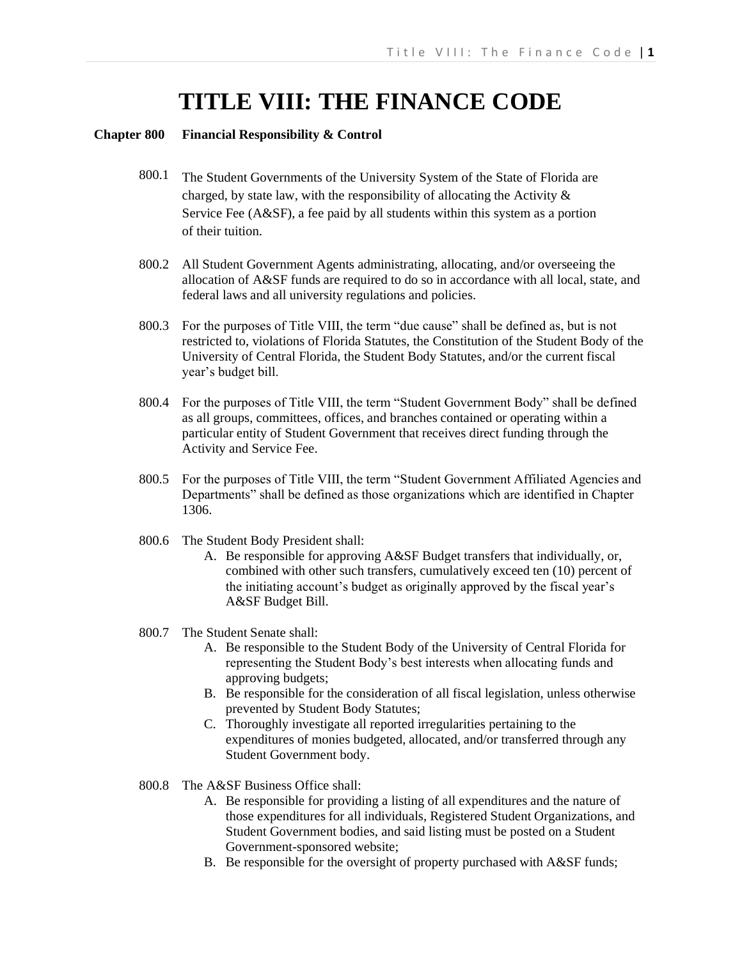# **TITLE VIII: THE FINANCE CODE**

#### **Chapter 800 Financial Responsibility & Control**

- 800.1 The Student Governments of the University System of the State of Florida are charged, by state law, with the responsibility of allocating the Activity  $\&$ Service Fee (A&SF), a fee paid by all students within this system as a portion of their tuition.
- 800.2 All Student Government Agents administrating, allocating, and/or overseeing the allocation of A&SF funds are required to do so in accordance with all local, state, and federal laws and all university regulations and policies.
- 800.3 For the purposes of Title VIII, the term "due cause" shall be defined as, but is not restricted to, violations of Florida Statutes, the Constitution of the Student Body of the University of Central Florida, the Student Body Statutes, and/or the current fiscal year's budget bill.
- 800.4 For the purposes of Title VIII, the term "Student Government Body" shall be defined as all groups, committees, offices, and branches contained or operating within a particular entity of Student Government that receives direct funding through the Activity and Service Fee.
- 800.5 For the purposes of Title VIII, the term "Student Government Affiliated Agencies and Departments" shall be defined as those organizations which are identified in Chapter 1306.
- 800.6 The Student Body President shall:
	- A. Be responsible for approving A&SF Budget transfers that individually, or, combined with other such transfers, cumulatively exceed ten (10) percent of the initiating account's budget as originally approved by the fiscal year's A&SF Budget Bill.
- 800.7 The Student Senate shall:
	- A. Be responsible to the Student Body of the University of Central Florida for representing the Student Body's best interests when allocating funds and approving budgets;
	- B. Be responsible for the consideration of all fiscal legislation, unless otherwise prevented by Student Body Statutes;
	- C. Thoroughly investigate all reported irregularities pertaining to the expenditures of monies budgeted, allocated, and/or transferred through any Student Government body.
- 800.8 The A&SF Business Office shall:
	- A. Be responsible for providing a listing of all expenditures and the nature of those expenditures for all individuals, Registered Student Organizations, and Student Government bodies, and said listing must be posted on a Student Government-sponsored website;
	- B. Be responsible for the oversight of property purchased with A&SF funds;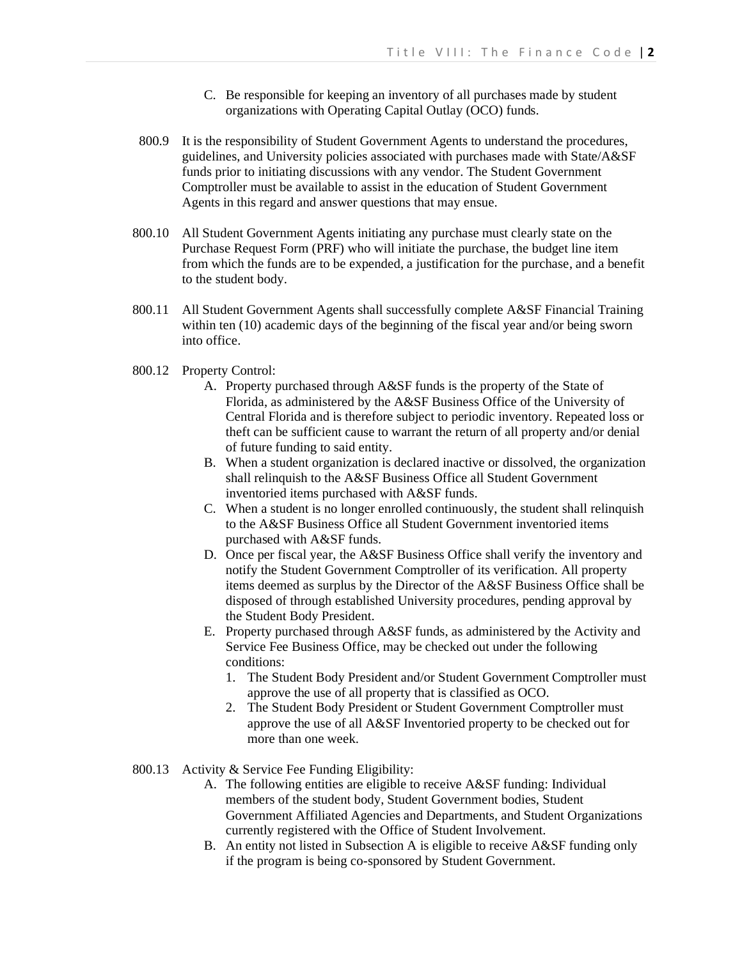- C. Be responsible for keeping an inventory of all purchases made by student organizations with Operating Capital Outlay (OCO) funds.
- 800.9 It is the responsibility of Student Government Agents to understand the procedures, guidelines, and University policies associated with purchases made with State/A&SF funds prior to initiating discussions with any vendor. The Student Government Comptroller must be available to assist in the education of Student Government Agents in this regard and answer questions that may ensue.
- 800.10 All Student Government Agents initiating any purchase must clearly state on the Purchase Request Form (PRF) who will initiate the purchase, the budget line item from which the funds are to be expended, a justification for the purchase, and a benefit to the student body.
- 800.11 All Student Government Agents shall successfully complete A&SF Financial Training within ten (10) academic days of the beginning of the fiscal year and/or being sworn into office.
- 800.12 Property Control:
	- A. Property purchased through A&SF funds is the property of the State of Florida, as administered by the A&SF Business Office of the University of Central Florida and is therefore subject to periodic inventory. Repeated loss or theft can be sufficient cause to warrant the return of all property and/or denial of future funding to said entity.
	- B. When a student organization is declared inactive or dissolved, the organization shall relinquish to the A&SF Business Office all Student Government inventoried items purchased with A&SF funds.
	- C. When a student is no longer enrolled continuously, the student shall relinquish to the A&SF Business Office all Student Government inventoried items purchased with A&SF funds.
	- D. Once per fiscal year, the A&SF Business Office shall verify the inventory and notify the Student Government Comptroller of its verification. All property items deemed as surplus by the Director of the A&SF Business Office shall be disposed of through established University procedures, pending approval by the Student Body President.
	- E. Property purchased through A&SF funds, as administered by the Activity and Service Fee Business Office, may be checked out under the following conditions:
		- 1. The Student Body President and/or Student Government Comptroller must approve the use of all property that is classified as OCO.
		- 2. The Student Body President or Student Government Comptroller must approve the use of all A&SF Inventoried property to be checked out for more than one week.
- 800.13 Activity & Service Fee Funding Eligibility:
	- A. The following entities are eligible to receive A&SF funding: Individual members of the student body, Student Government bodies, Student Government Affiliated Agencies and Departments, and Student Organizations currently registered with the Office of Student Involvement.
	- B. An entity not listed in Subsection A is eligible to receive A&SF funding only if the program is being co-sponsored by Student Government.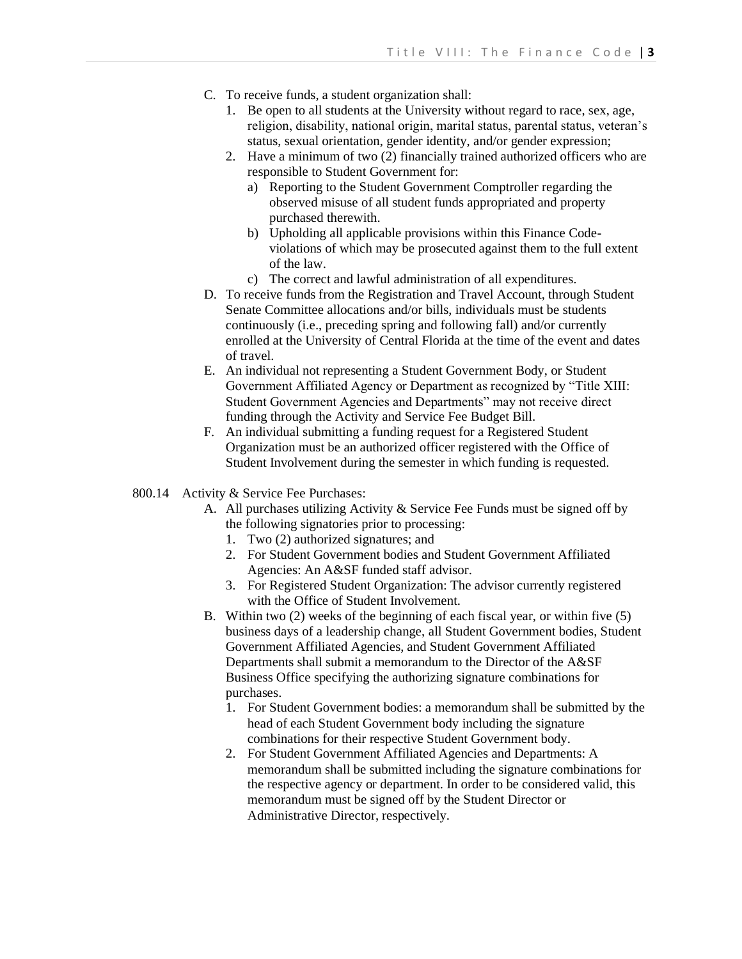- C. To receive funds, a student organization shall:
	- 1. Be open to all students at the University without regard to race, sex, age, religion, disability, national origin, marital status, parental status, veteran's status, sexual orientation, gender identity, and/or gender expression;
	- 2. Have a minimum of two (2) financially trained authorized officers who are responsible to Student Government for:
		- a) Reporting to the Student Government Comptroller regarding the observed misuse of all student funds appropriated and property purchased therewith.
		- b) Upholding all applicable provisions within this Finance Codeviolations of which may be prosecuted against them to the full extent of the law.
		- c) The correct and lawful administration of all expenditures.
- D. To receive funds from the Registration and Travel Account, through Student Senate Committee allocations and/or bills, individuals must be students continuously (i.e., preceding spring and following fall) and/or currently enrolled at the University of Central Florida at the time of the event and dates of travel.
- E. An individual not representing a Student Government Body, or Student Government Affiliated Agency or Department as recognized by "Title XIII: Student Government Agencies and Departments" may not receive direct funding through the Activity and Service Fee Budget Bill.
- F. An individual submitting a funding request for a Registered Student Organization must be an authorized officer registered with the Office of Student Involvement during the semester in which funding is requested.
- 800.14 Activity & Service Fee Purchases:
	- A. All purchases utilizing Activity & Service Fee Funds must be signed off by the following signatories prior to processing:
		- 1. Two (2) authorized signatures; and
		- 2. For Student Government bodies and Student Government Affiliated Agencies: An A&SF funded staff advisor.
		- 3. For Registered Student Organization: The advisor currently registered with the Office of Student Involvement.
	- B. Within two (2) weeks of the beginning of each fiscal year, or within five (5) business days of a leadership change, all Student Government bodies, Student Government Affiliated Agencies, and Student Government Affiliated Departments shall submit a memorandum to the Director of the A&SF Business Office specifying the authorizing signature combinations for purchases.
		- 1. For Student Government bodies: a memorandum shall be submitted by the head of each Student Government body including the signature combinations for their respective Student Government body.
		- 2. For Student Government Affiliated Agencies and Departments: A memorandum shall be submitted including the signature combinations for the respective agency or department. In order to be considered valid, this memorandum must be signed off by the Student Director or Administrative Director, respectively.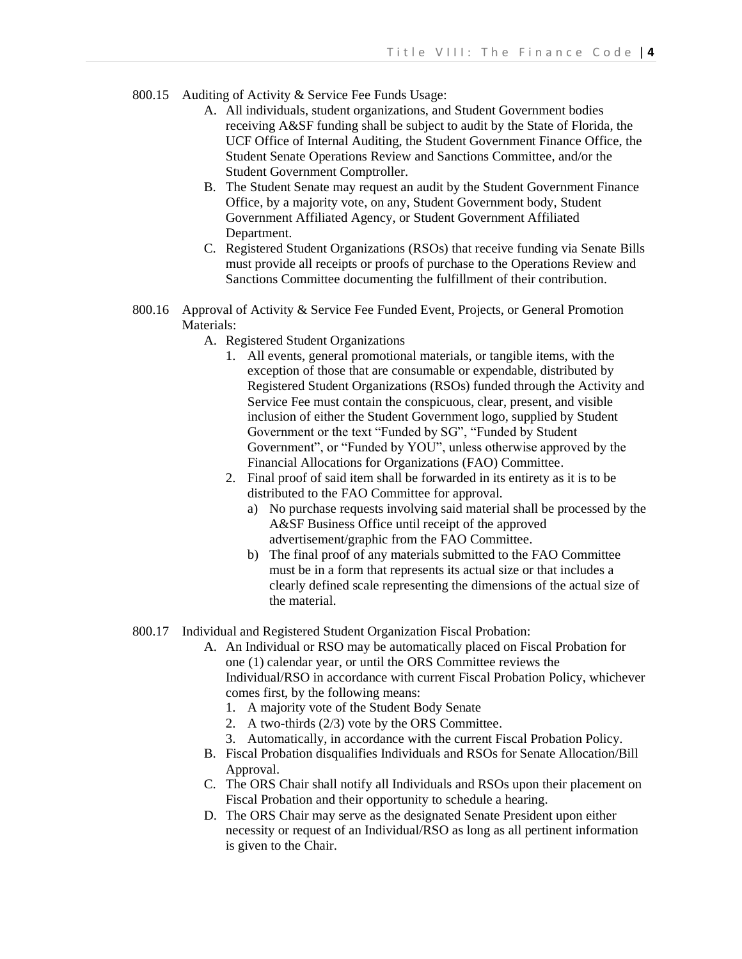- 800.15 Auditing of Activity & Service Fee Funds Usage:
	- A. All individuals, student organizations, and Student Government bodies receiving A&SF funding shall be subject to audit by the State of Florida, the UCF Office of Internal Auditing, the Student Government Finance Office, the Student Senate Operations Review and Sanctions Committee, and/or the Student Government Comptroller.
	- B. The Student Senate may request an audit by the Student Government Finance Office, by a majority vote, on any, Student Government body, Student Government Affiliated Agency, or Student Government Affiliated Department.
	- C. Registered Student Organizations (RSOs) that receive funding via Senate Bills must provide all receipts or proofs of purchase to the Operations Review and Sanctions Committee documenting the fulfillment of their contribution.
- 800.16 Approval of Activity & Service Fee Funded Event, Projects, or General Promotion Materials:
	- A. Registered Student Organizations
		- 1. All events, general promotional materials, or tangible items, with the exception of those that are consumable or expendable, distributed by Registered Student Organizations (RSOs) funded through the Activity and Service Fee must contain the conspicuous, clear, present, and visible inclusion of either the Student Government logo, supplied by Student Government or the text "Funded by SG", "Funded by Student Government", or "Funded by YOU", unless otherwise approved by the Financial Allocations for Organizations (FAO) Committee.
		- 2. Final proof of said item shall be forwarded in its entirety as it is to be distributed to the FAO Committee for approval.
			- a) No purchase requests involving said material shall be processed by the A&SF Business Office until receipt of the approved advertisement/graphic from the FAO Committee.
			- b) The final proof of any materials submitted to the FAO Committee must be in a form that represents its actual size or that includes a clearly defined scale representing the dimensions of the actual size of the material.
- 800.17 Individual and Registered Student Organization Fiscal Probation:
	- A. An Individual or RSO may be automatically placed on Fiscal Probation for one (1) calendar year, or until the ORS Committee reviews the Individual/RSO in accordance with current Fiscal Probation Policy, whichever comes first, by the following means:
		- 1. A majority vote of the Student Body Senate
		- 2. A two-thirds (2/3) vote by the ORS Committee.
		- 3. Automatically, in accordance with the current Fiscal Probation Policy.
	- B. Fiscal Probation disqualifies Individuals and RSOs for Senate Allocation/Bill Approval.
	- C. The ORS Chair shall notify all Individuals and RSOs upon their placement on Fiscal Probation and their opportunity to schedule a hearing.
	- D. The ORS Chair may serve as the designated Senate President upon either necessity or request of an Individual/RSO as long as all pertinent information is given to the Chair.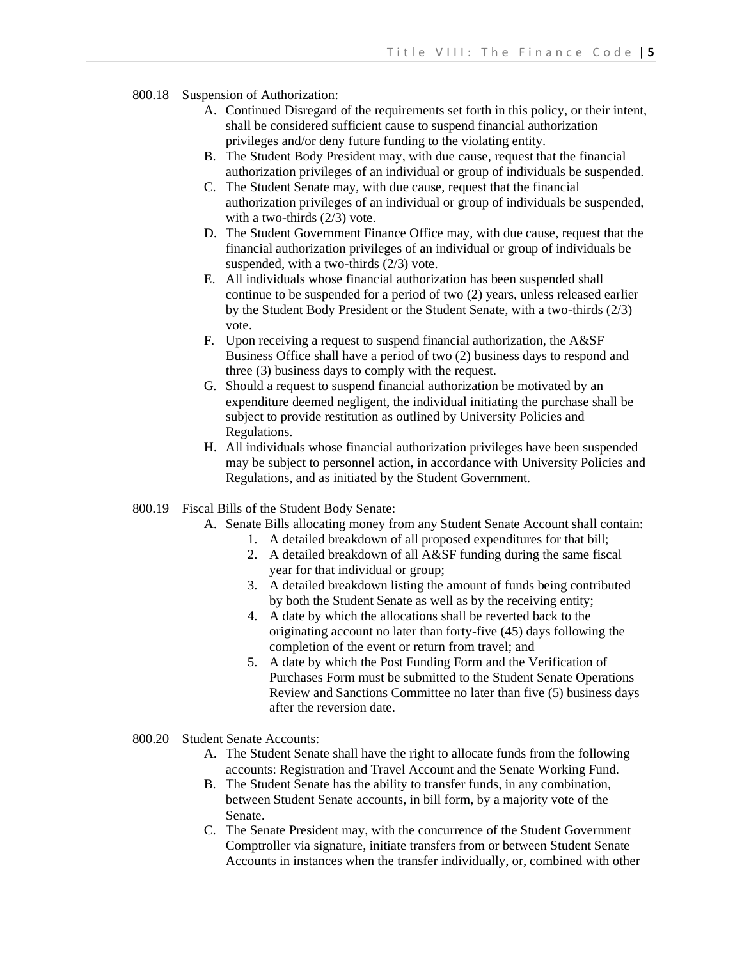- 800.18 Suspension of Authorization:
	- A. Continued Disregard of the requirements set forth in this policy, or their intent, shall be considered sufficient cause to suspend financial authorization privileges and/or deny future funding to the violating entity.
	- B. The Student Body President may, with due cause, request that the financial authorization privileges of an individual or group of individuals be suspended.
	- C. The Student Senate may, with due cause, request that the financial authorization privileges of an individual or group of individuals be suspended, with a two-thirds (2/3) vote.
	- D. The Student Government Finance Office may, with due cause, request that the financial authorization privileges of an individual or group of individuals be suspended, with a two-thirds (2/3) vote.
	- E. All individuals whose financial authorization has been suspended shall continue to be suspended for a period of two (2) years, unless released earlier by the Student Body President or the Student Senate, with a two-thirds (2/3) vote.
	- F. Upon receiving a request to suspend financial authorization, the A&SF Business Office shall have a period of two (2) business days to respond and three (3) business days to comply with the request.
	- G. Should a request to suspend financial authorization be motivated by an expenditure deemed negligent, the individual initiating the purchase shall be subject to provide restitution as outlined by University Policies and Regulations.
	- H. All individuals whose financial authorization privileges have been suspended may be subject to personnel action, in accordance with University Policies and Regulations, and as initiated by the Student Government.
- 800.19 Fiscal Bills of the Student Body Senate:
	- A. Senate Bills allocating money from any Student Senate Account shall contain:
		- 1. A detailed breakdown of all proposed expenditures for that bill;
		- 2. A detailed breakdown of all A&SF funding during the same fiscal year for that individual or group;
		- 3. A detailed breakdown listing the amount of funds being contributed by both the Student Senate as well as by the receiving entity;
		- 4. A date by which the allocations shall be reverted back to the originating account no later than forty-five (45) days following the completion of the event or return from travel; and
		- 5. A date by which the Post Funding Form and the Verification of Purchases Form must be submitted to the Student Senate Operations Review and Sanctions Committee no later than five (5) business days after the reversion date.
- 800.20 Student Senate Accounts:
	- A. The Student Senate shall have the right to allocate funds from the following accounts: Registration and Travel Account and the Senate Working Fund.
	- B. The Student Senate has the ability to transfer funds, in any combination, between Student Senate accounts, in bill form, by a majority vote of the Senate.
	- C. The Senate President may, with the concurrence of the Student Government Comptroller via signature, initiate transfers from or between Student Senate Accounts in instances when the transfer individually, or, combined with other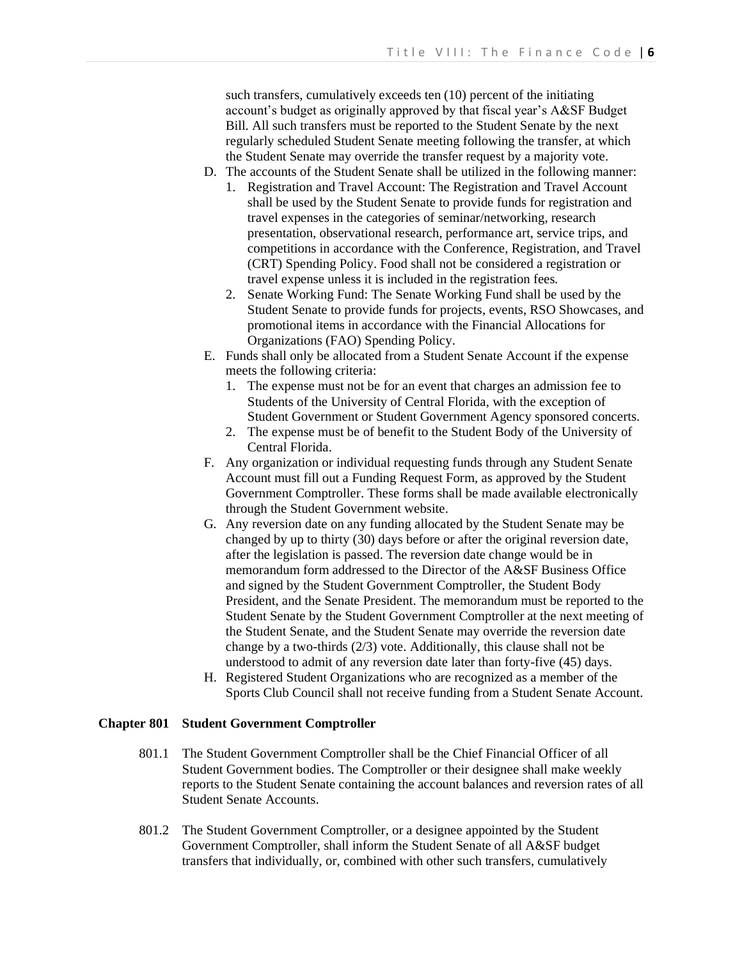such transfers, cumulatively exceeds ten (10) percent of the initiating account's budget as originally approved by that fiscal year's A&SF Budget Bill. All such transfers must be reported to the Student Senate by the next regularly scheduled Student Senate meeting following the transfer, at which the Student Senate may override the transfer request by a majority vote.

- D. The accounts of the Student Senate shall be utilized in the following manner: 1. Registration and Travel Account: The Registration and Travel Account shall be used by the Student Senate to provide funds for registration and travel expenses in the categories of seminar/networking, research presentation, observational research, performance art, service trips, and competitions in accordance with the Conference, Registration, and Travel (CRT) Spending Policy. Food shall not be considered a registration or travel expense unless it is included in the registration fees.
	- 2. Senate Working Fund: The Senate Working Fund shall be used by the Student Senate to provide funds for projects, events, RSO Showcases, and promotional items in accordance with the Financial Allocations for Organizations (FAO) Spending Policy.
- E. Funds shall only be allocated from a Student Senate Account if the expense meets the following criteria:
	- 1. The expense must not be for an event that charges an admission fee to Students of the University of Central Florida, with the exception of Student Government or Student Government Agency sponsored concerts.
	- 2. The expense must be of benefit to the Student Body of the University of Central Florida.
- F. Any organization or individual requesting funds through any Student Senate Account must fill out a Funding Request Form, as approved by the Student Government Comptroller. These forms shall be made available electronically through the Student Government website.
- G. Any reversion date on any funding allocated by the Student Senate may be changed by up to thirty (30) days before or after the original reversion date, after the legislation is passed. The reversion date change would be in memorandum form addressed to the Director of the A&SF Business Office and signed by the Student Government Comptroller, the Student Body President, and the Senate President. The memorandum must be reported to the Student Senate by the Student Government Comptroller at the next meeting of the Student Senate, and the Student Senate may override the reversion date change by a two-thirds (2/3) vote. Additionally, this clause shall not be understood to admit of any reversion date later than forty-five (45) days.
- H. Registered Student Organizations who are recognized as a member of the Sports Club Council shall not receive funding from a Student Senate Account.

# **Chapter 801 Student Government Comptroller**

- 801.1 The Student Government Comptroller shall be the Chief Financial Officer of all Student Government bodies. The Comptroller or their designee shall make weekly reports to the Student Senate containing the account balances and reversion rates of all Student Senate Accounts.
- 801.2 The Student Government Comptroller, or a designee appointed by the Student Government Comptroller, shall inform the Student Senate of all A&SF budget transfers that individually, or, combined with other such transfers, cumulatively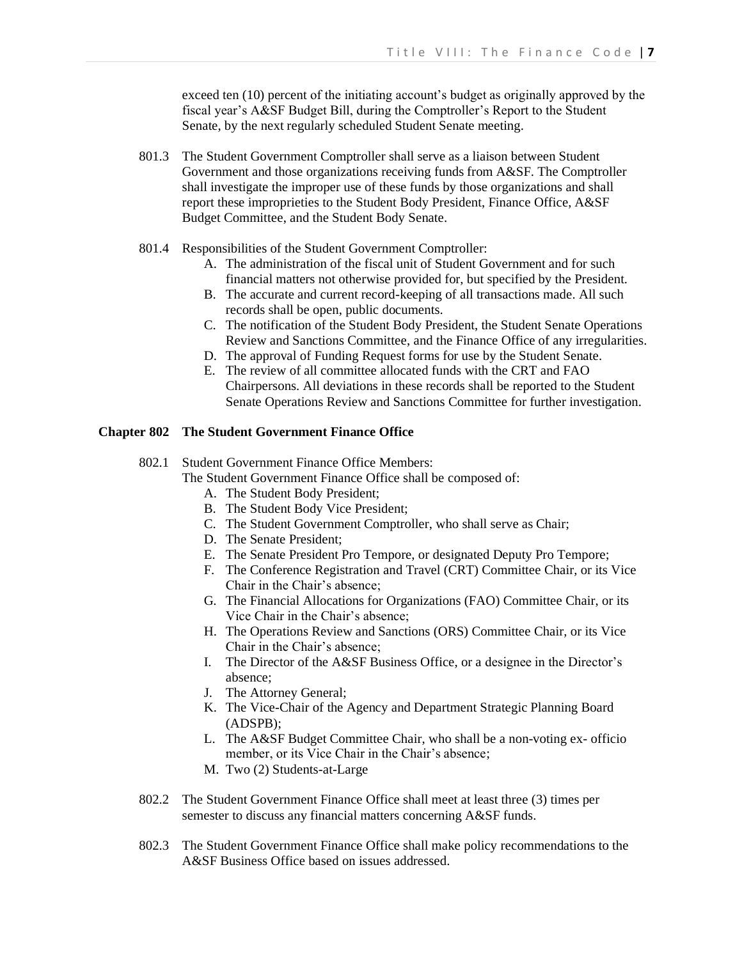exceed ten (10) percent of the initiating account's budget as originally approved by the fiscal year's A&SF Budget Bill, during the Comptroller's Report to the Student Senate, by the next regularly scheduled Student Senate meeting.

- 801.3 The Student Government Comptroller shall serve as a liaison between Student Government and those organizations receiving funds from A&SF. The Comptroller shall investigate the improper use of these funds by those organizations and shall report these improprieties to the Student Body President, Finance Office, A&SF Budget Committee, and the Student Body Senate.
- 801.4 Responsibilities of the Student Government Comptroller:
	- A. The administration of the fiscal unit of Student Government and for such financial matters not otherwise provided for, but specified by the President.
	- B. The accurate and current record-keeping of all transactions made. All such records shall be open, public documents.
	- C. The notification of the Student Body President, the Student Senate Operations Review and Sanctions Committee, and the Finance Office of any irregularities.
	- D. The approval of Funding Request forms for use by the Student Senate.
	- E. The review of all committee allocated funds with the CRT and FAO Chairpersons. All deviations in these records shall be reported to the Student Senate Operations Review and Sanctions Committee for further investigation.

# **Chapter 802 The Student Government Finance Office**

# 802.1 Student Government Finance Office Members:

The Student Government Finance Office shall be composed of:

- A. The Student Body President;
- B. The Student Body Vice President;
- C. The Student Government Comptroller, who shall serve as Chair;
- D. The Senate President;
- E. The Senate President Pro Tempore, or designated Deputy Pro Tempore;
- F. The Conference Registration and Travel (CRT) Committee Chair, or its Vice Chair in the Chair's absence;
- G. The Financial Allocations for Organizations (FAO) Committee Chair, or its Vice Chair in the Chair's absence;
- H. The Operations Review and Sanctions (ORS) Committee Chair, or its Vice Chair in the Chair's absence;
- I. The Director of the A&SF Business Office, or a designee in the Director's absence;
- J. The Attorney General;
- K. The Vice-Chair of the Agency and Department Strategic Planning Board (ADSPB);
- L. The A&SF Budget Committee Chair, who shall be a non-voting ex- officio member, or its Vice Chair in the Chair's absence;
- M. Two (2) Students-at-Large
- 802.2 The Student Government Finance Office shall meet at least three (3) times per semester to discuss any financial matters concerning A&SF funds.
- 802.3 The Student Government Finance Office shall make policy recommendations to the A&SF Business Office based on issues addressed.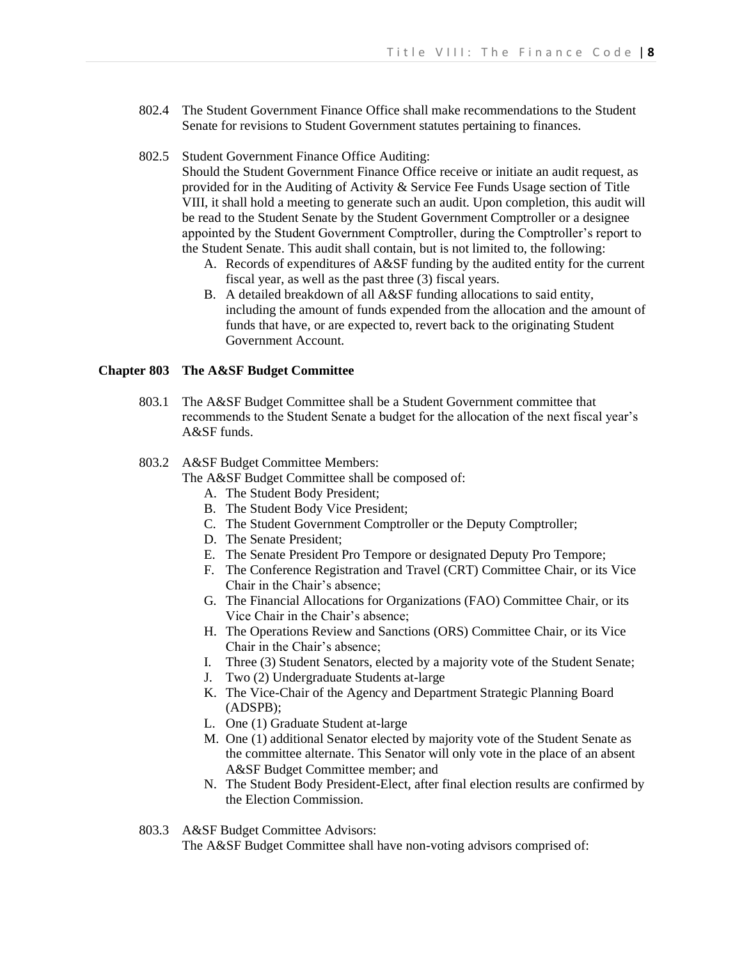802.4 The Student Government Finance Office shall make recommendations to the Student Senate for revisions to Student Government statutes pertaining to finances.

### 802.5 Student Government Finance Office Auditing:

Should the Student Government Finance Office receive or initiate an audit request, as provided for in the Auditing of Activity & Service Fee Funds Usage section of Title VIII, it shall hold a meeting to generate such an audit. Upon completion, this audit will be read to the Student Senate by the Student Government Comptroller or a designee appointed by the Student Government Comptroller, during the Comptroller's report to the Student Senate. This audit shall contain, but is not limited to, the following:

- A. Records of expenditures of A&SF funding by the audited entity for the current fiscal year, as well as the past three (3) fiscal years.
- B. A detailed breakdown of all A&SF funding allocations to said entity, including the amount of funds expended from the allocation and the amount of funds that have, or are expected to, revert back to the originating Student Government Account.

# **Chapter 803 The A&SF Budget Committee**

803.1 The A&SF Budget Committee shall be a Student Government committee that recommends to the Student Senate a budget for the allocation of the next fiscal year's A&SF funds.

### 803.2 A&SF Budget Committee Members:

The A&SF Budget Committee shall be composed of:

- A. The Student Body President;
- B. The Student Body Vice President;
- C. The Student Government Comptroller or the Deputy Comptroller;
- D. The Senate President;
- E. The Senate President Pro Tempore or designated Deputy Pro Tempore;
- F. The Conference Registration and Travel (CRT) Committee Chair, or its Vice Chair in the Chair's absence;
- G. The Financial Allocations for Organizations (FAO) Committee Chair, or its Vice Chair in the Chair's absence;
- H. The Operations Review and Sanctions (ORS) Committee Chair, or its Vice Chair in the Chair's absence;
- I. Three (3) Student Senators, elected by a majority vote of the Student Senate;
- J. Two (2) Undergraduate Students at-large
- K. The Vice-Chair of the Agency and Department Strategic Planning Board (ADSPB);
- L. One (1) Graduate Student at-large
- M. One (1) additional Senator elected by majority vote of the Student Senate as the committee alternate. This Senator will only vote in the place of an absent A&SF Budget Committee member; and
- N. The Student Body President-Elect, after final election results are confirmed by the Election Commission.

#### 803.3 A&SF Budget Committee Advisors:

The A&SF Budget Committee shall have non-voting advisors comprised of: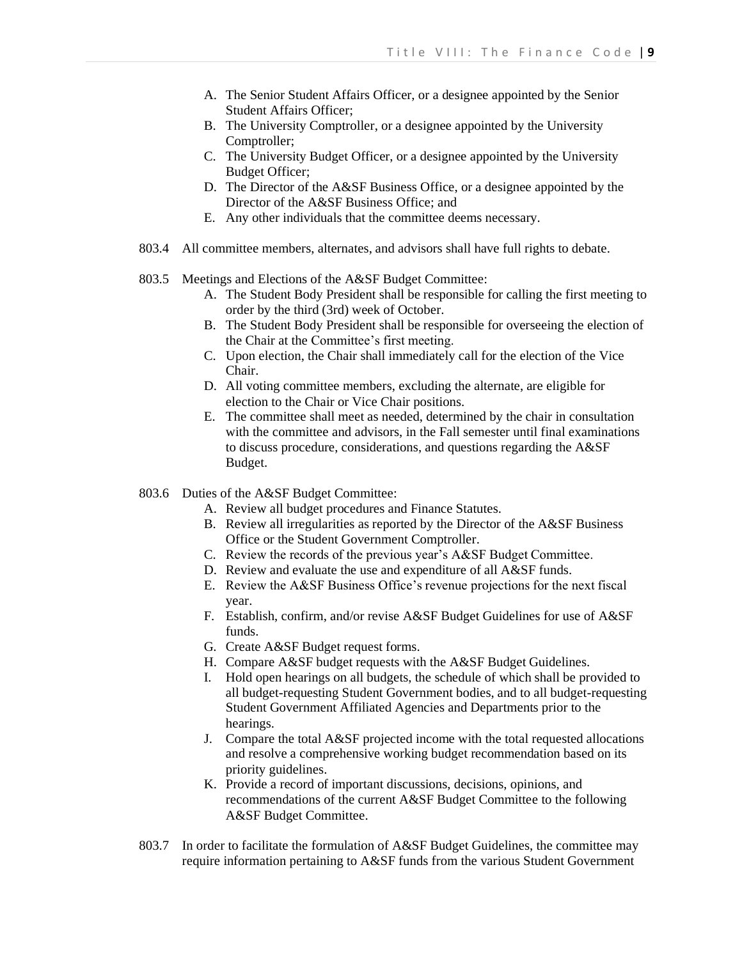- A. The Senior Student Affairs Officer, or a designee appointed by the Senior Student Affairs Officer;
- B. The University Comptroller, or a designee appointed by the University Comptroller;
- C. The University Budget Officer, or a designee appointed by the University Budget Officer;
- D. The Director of the A&SF Business Office, or a designee appointed by the Director of the A&SF Business Office; and
- E. Any other individuals that the committee deems necessary.
- 803.4 All committee members, alternates, and advisors shall have full rights to debate.
- 803.5 Meetings and Elections of the A&SF Budget Committee:
	- A. The Student Body President shall be responsible for calling the first meeting to order by the third (3rd) week of October.
	- B. The Student Body President shall be responsible for overseeing the election of the Chair at the Committee's first meeting.
	- C. Upon election, the Chair shall immediately call for the election of the Vice Chair.
	- D. All voting committee members, excluding the alternate, are eligible for election to the Chair or Vice Chair positions.
	- E. The committee shall meet as needed, determined by the chair in consultation with the committee and advisors, in the Fall semester until final examinations to discuss procedure, considerations, and questions regarding the A&SF Budget.
- 803.6 Duties of the A&SF Budget Committee:
	- A. Review all budget procedures and Finance Statutes.
	- B. Review all irregularities as reported by the Director of the A&SF Business Office or the Student Government Comptroller.
	- C. Review the records of the previous year's A&SF Budget Committee.
	- D. Review and evaluate the use and expenditure of all A&SF funds.
	- E. Review the A&SF Business Office's revenue projections for the next fiscal year.
	- F. Establish, confirm, and/or revise A&SF Budget Guidelines for use of A&SF funds.
	- G. Create A&SF Budget request forms.
	- H. Compare A&SF budget requests with the A&SF Budget Guidelines.
	- I. Hold open hearings on all budgets, the schedule of which shall be provided to all budget-requesting Student Government bodies, and to all budget-requesting Student Government Affiliated Agencies and Departments prior to the hearings.
	- J. Compare the total A&SF projected income with the total requested allocations and resolve a comprehensive working budget recommendation based on its priority guidelines.
	- K. Provide a record of important discussions, decisions, opinions, and recommendations of the current A&SF Budget Committee to the following A&SF Budget Committee.
- 803.7 In order to facilitate the formulation of A&SF Budget Guidelines, the committee may require information pertaining to A&SF funds from the various Student Government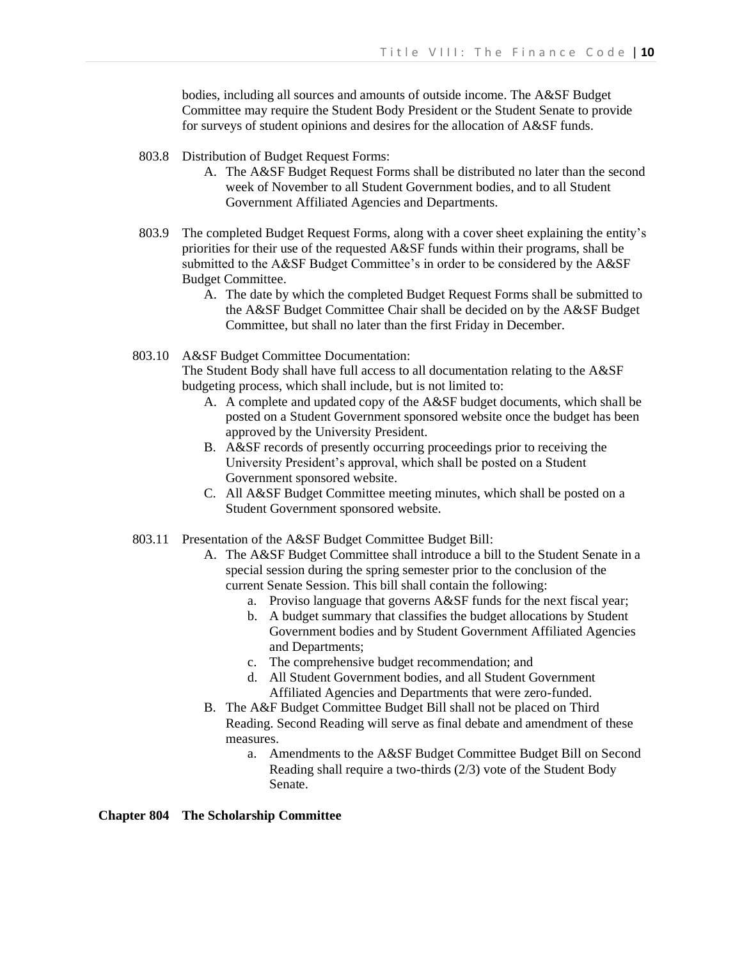bodies, including all sources and amounts of outside income. The A&SF Budget Committee may require the Student Body President or the Student Senate to provide for surveys of student opinions and desires for the allocation of A&SF funds.

- 803.8 Distribution of Budget Request Forms:
	- A. The A&SF Budget Request Forms shall be distributed no later than the second week of November to all Student Government bodies, and to all Student Government Affiliated Agencies and Departments.
- 803.9 The completed Budget Request Forms, along with a cover sheet explaining the entity's priorities for their use of the requested A&SF funds within their programs, shall be submitted to the A&SF Budget Committee's in order to be considered by the A&SF Budget Committee.
	- A. The date by which the completed Budget Request Forms shall be submitted to the A&SF Budget Committee Chair shall be decided on by the A&SF Budget Committee, but shall no later than the first Friday in December.
- 803.10 A&SF Budget Committee Documentation:

The Student Body shall have full access to all documentation relating to the A&SF budgeting process, which shall include, but is not limited to:

- A. A complete and updated copy of the A&SF budget documents, which shall be posted on a Student Government sponsored website once the budget has been approved by the University President.
- B. A&SF records of presently occurring proceedings prior to receiving the University President's approval, which shall be posted on a Student Government sponsored website.
- C. All A&SF Budget Committee meeting minutes, which shall be posted on a Student Government sponsored website.
- 803.11 Presentation of the A&SF Budget Committee Budget Bill:
	- A. The A&SF Budget Committee shall introduce a bill to the Student Senate in a special session during the spring semester prior to the conclusion of the current Senate Session. This bill shall contain the following:
		- a. Proviso language that governs A&SF funds for the next fiscal year;
		- b. A budget summary that classifies the budget allocations by Student Government bodies and by Student Government Affiliated Agencies and Departments;
		- c. The comprehensive budget recommendation; and
		- d. All Student Government bodies, and all Student Government Affiliated Agencies and Departments that were zero-funded.
	- B. The A&F Budget Committee Budget Bill shall not be placed on Third Reading. Second Reading will serve as final debate and amendment of these measures.
		- a. Amendments to the A&SF Budget Committee Budget Bill on Second Reading shall require a two-thirds (2/3) vote of the Student Body Senate.

**Chapter 804 The Scholarship Committee**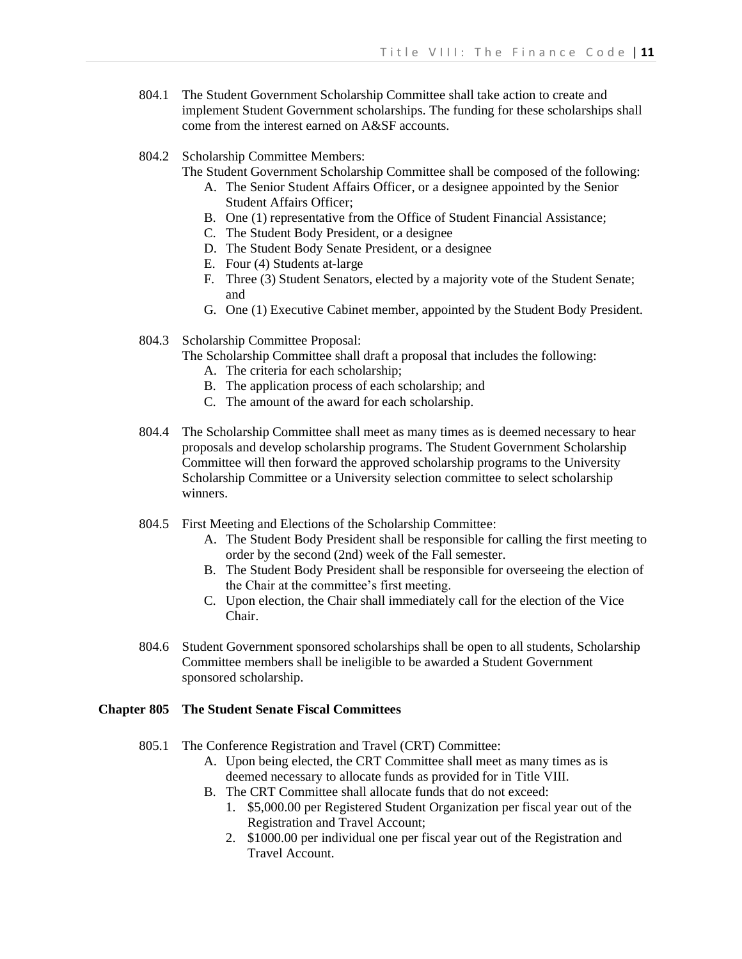- 804.1 The Student Government Scholarship Committee shall take action to create and implement Student Government scholarships. The funding for these scholarships shall come from the interest earned on A&SF accounts.
- 804.2 Scholarship Committee Members:
	- The Student Government Scholarship Committee shall be composed of the following:
		- A. The Senior Student Affairs Officer, or a designee appointed by the Senior Student Affairs Officer;
		- B. One (1) representative from the Office of Student Financial Assistance;
		- C. The Student Body President, or a designee
		- D. The Student Body Senate President, or a designee
		- E. Four (4) Students at-large
		- F. Three (3) Student Senators, elected by a majority vote of the Student Senate; and
		- G. One (1) Executive Cabinet member, appointed by the Student Body President.
- 804.3 Scholarship Committee Proposal:
	- The Scholarship Committee shall draft a proposal that includes the following:
		- A. The criteria for each scholarship;
		- B. The application process of each scholarship; and
		- C. The amount of the award for each scholarship.
- 804.4 The Scholarship Committee shall meet as many times as is deemed necessary to hear proposals and develop scholarship programs. The Student Government Scholarship Committee will then forward the approved scholarship programs to the University Scholarship Committee or a University selection committee to select scholarship winners.
- 804.5 First Meeting and Elections of the Scholarship Committee:
	- A. The Student Body President shall be responsible for calling the first meeting to order by the second (2nd) week of the Fall semester.
	- B. The Student Body President shall be responsible for overseeing the election of the Chair at the committee's first meeting.
	- C. Upon election, the Chair shall immediately call for the election of the Vice Chair.
- 804.6 Student Government sponsored scholarships shall be open to all students, Scholarship Committee members shall be ineligible to be awarded a Student Government sponsored scholarship.

# **Chapter 805 The Student Senate Fiscal Committees**

- 805.1 The Conference Registration and Travel (CRT) Committee:
	- A. Upon being elected, the CRT Committee shall meet as many times as is deemed necessary to allocate funds as provided for in Title VIII.
	- B. The CRT Committee shall allocate funds that do not exceed:
		- 1. \$5,000.00 per Registered Student Organization per fiscal year out of the Registration and Travel Account;
		- 2. \$1000.00 per individual one per fiscal year out of the Registration and Travel Account.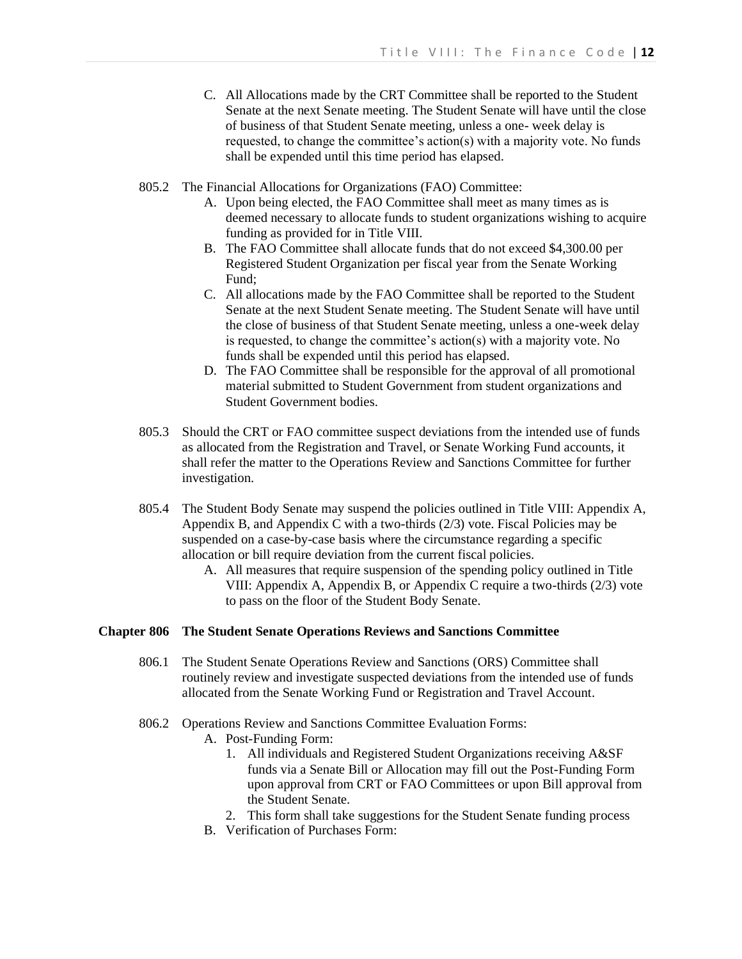- C. All Allocations made by the CRT Committee shall be reported to the Student Senate at the next Senate meeting. The Student Senate will have until the close of business of that Student Senate meeting, unless a one- week delay is requested, to change the committee's action(s) with a majority vote. No funds shall be expended until this time period has elapsed.
- 805.2 The Financial Allocations for Organizations (FAO) Committee:
	- A. Upon being elected, the FAO Committee shall meet as many times as is deemed necessary to allocate funds to student organizations wishing to acquire funding as provided for in Title VIII.
	- B. The FAO Committee shall allocate funds that do not exceed \$4,300.00 per Registered Student Organization per fiscal year from the Senate Working Fund;
	- C. All allocations made by the FAO Committee shall be reported to the Student Senate at the next Student Senate meeting. The Student Senate will have until the close of business of that Student Senate meeting, unless a one-week delay is requested, to change the committee's action(s) with a majority vote. No funds shall be expended until this period has elapsed.
	- D. The FAO Committee shall be responsible for the approval of all promotional material submitted to Student Government from student organizations and Student Government bodies.
- 805.3 Should the CRT or FAO committee suspect deviations from the intended use of funds as allocated from the Registration and Travel, or Senate Working Fund accounts, it shall refer the matter to the Operations Review and Sanctions Committee for further investigation.
- 805.4 The Student Body Senate may suspend the policies outlined in Title VIII: Appendix A, Appendix B, and Appendix C with a two-thirds (2/3) vote. Fiscal Policies may be suspended on a case-by-case basis where the circumstance regarding a specific allocation or bill require deviation from the current fiscal policies.
	- A. All measures that require suspension of the spending policy outlined in Title VIII: Appendix A, Appendix B, or Appendix C require a two-thirds (2/3) vote to pass on the floor of the Student Body Senate.

### **Chapter 806 The Student Senate Operations Reviews and Sanctions Committee**

- 806.1 The Student Senate Operations Review and Sanctions (ORS) Committee shall routinely review and investigate suspected deviations from the intended use of funds allocated from the Senate Working Fund or Registration and Travel Account.
- 806.2 Operations Review and Sanctions Committee Evaluation Forms:
	- A. Post-Funding Form:
		- 1. All individuals and Registered Student Organizations receiving A&SF funds via a Senate Bill or Allocation may fill out the Post-Funding Form upon approval from CRT or FAO Committees or upon Bill approval from the Student Senate.
		- 2. This form shall take suggestions for the Student Senate funding process
	- B. Verification of Purchases Form: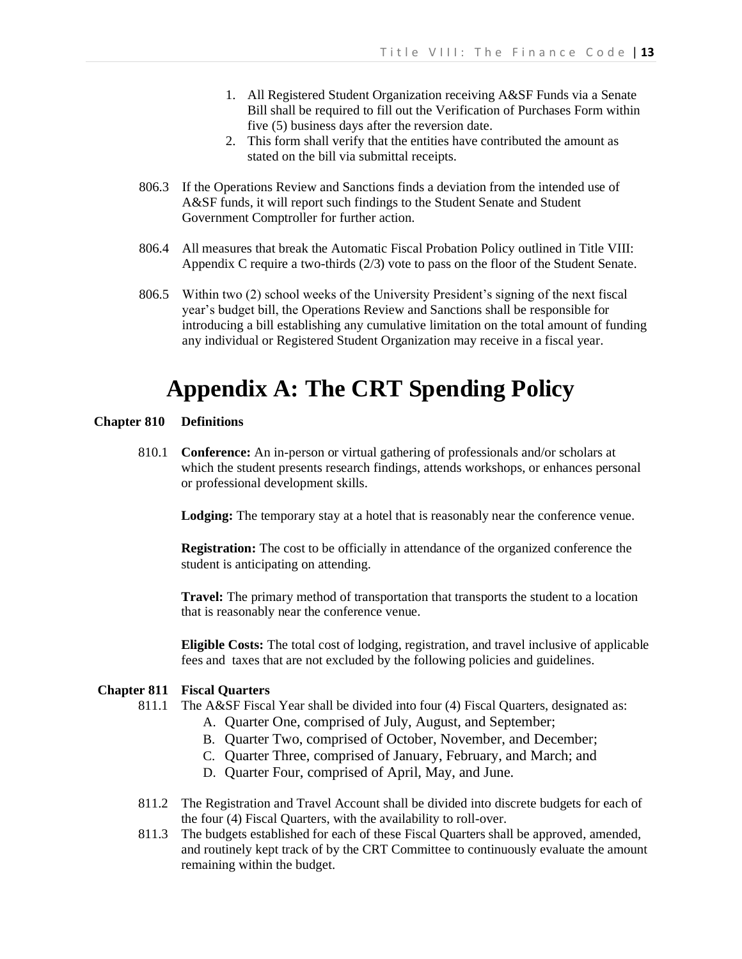- 1. All Registered Student Organization receiving A&SF Funds via a Senate Bill shall be required to fill out the Verification of Purchases Form within five (5) business days after the reversion date.
- 2. This form shall verify that the entities have contributed the amount as stated on the bill via submittal receipts.
- 806.3 If the Operations Review and Sanctions finds a deviation from the intended use of A&SF funds, it will report such findings to the Student Senate and Student Government Comptroller for further action.
- 806.4 All measures that break the Automatic Fiscal Probation Policy outlined in Title VIII: Appendix C require a two-thirds (2/3) vote to pass on the floor of the Student Senate.
- 806.5 Within two (2) school weeks of the University President's signing of the next fiscal year's budget bill, the Operations Review and Sanctions shall be responsible for introducing a bill establishing any cumulative limitation on the total amount of funding any individual or Registered Student Organization may receive in a fiscal year.

# **Appendix A: The CRT Spending Policy**

### **Chapter 810 Definitions**

810.1 **Conference:** An in-person or virtual gathering of professionals and/or scholars at which the student presents research findings, attends workshops, or enhances personal or professional development skills.

**Lodging:** The temporary stay at a hotel that is reasonably near the conference venue.

**Registration:** The cost to be officially in attendance of the organized conference the student is anticipating on attending.

**Travel:** The primary method of transportation that transports the student to a location that is reasonably near the conference venue.

**Eligible Costs:** The total cost of lodging, registration, and travel inclusive of applicable fees and taxes that are not excluded by the following policies and guidelines.

#### **Chapter 811 Fiscal Quarters**

- 811.1 The A&SF Fiscal Year shall be divided into four (4) Fiscal Quarters, designated as:
	- A. Quarter One, comprised of July, August, and September;
	- B. Quarter Two, comprised of October, November, and December;
	- C. Quarter Three, comprised of January, February, and March; and
	- D. Quarter Four, comprised of April, May, and June.
- 811.2 The Registration and Travel Account shall be divided into discrete budgets for each of the four (4) Fiscal Quarters, with the availability to roll-over.
- 811.3 The budgets established for each of these Fiscal Quarters shall be approved, amended, and routinely kept track of by the CRT Committee to continuously evaluate the amount remaining within the budget.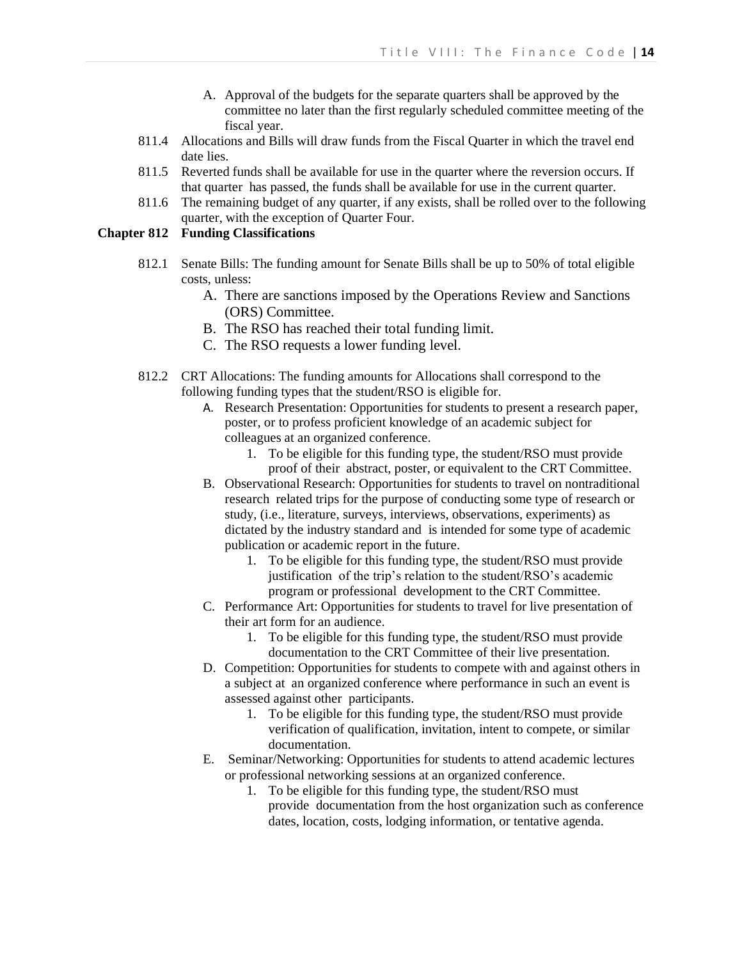- A. Approval of the budgets for the separate quarters shall be approved by the committee no later than the first regularly scheduled committee meeting of the fiscal year.
- 811.4 Allocations and Bills will draw funds from the Fiscal Quarter in which the travel end date lies.
- 811.5 Reverted funds shall be available for use in the quarter where the reversion occurs. If that quarter has passed, the funds shall be available for use in the current quarter.
- 811.6 The remaining budget of any quarter, if any exists, shall be rolled over to the following quarter, with the exception of Quarter Four.

# **Chapter 812 Funding Classifications**

- 812.1 Senate Bills: The funding amount for Senate Bills shall be up to 50% of total eligible costs, unless:
	- A. There are sanctions imposed by the Operations Review and Sanctions (ORS) Committee.
	- B. The RSO has reached their total funding limit.
	- C. The RSO requests a lower funding level.
- 812.2 CRT Allocations: The funding amounts for Allocations shall correspond to the following funding types that the student/RSO is eligible for.
	- A. Research Presentation: Opportunities for students to present a research paper, poster, or to profess proficient knowledge of an academic subject for colleagues at an organized conference.
		- 1. To be eligible for this funding type, the student/RSO must provide proof of their abstract, poster, or equivalent to the CRT Committee.
	- B. Observational Research: Opportunities for students to travel on nontraditional research related trips for the purpose of conducting some type of research or study, (i.e., literature, surveys, interviews, observations, experiments) as dictated by the industry standard and is intended for some type of academic publication or academic report in the future.
		- 1. To be eligible for this funding type, the student/RSO must provide justification of the trip's relation to the student/RSO's academic program or professional development to the CRT Committee.
	- C. Performance Art: Opportunities for students to travel for live presentation of their art form for an audience.
		- 1. To be eligible for this funding type, the student/RSO must provide documentation to the CRT Committee of their live presentation.
	- D. Competition: Opportunities for students to compete with and against others in a subject at an organized conference where performance in such an event is assessed against other participants.
		- 1. To be eligible for this funding type, the student/RSO must provide verification of qualification, invitation, intent to compete, or similar documentation.
	- E. Seminar/Networking: Opportunities for students to attend academic lectures or professional networking sessions at an organized conference.
		- 1. To be eligible for this funding type, the student/RSO must provide documentation from the host organization such as conference dates, location, costs, lodging information, or tentative agenda.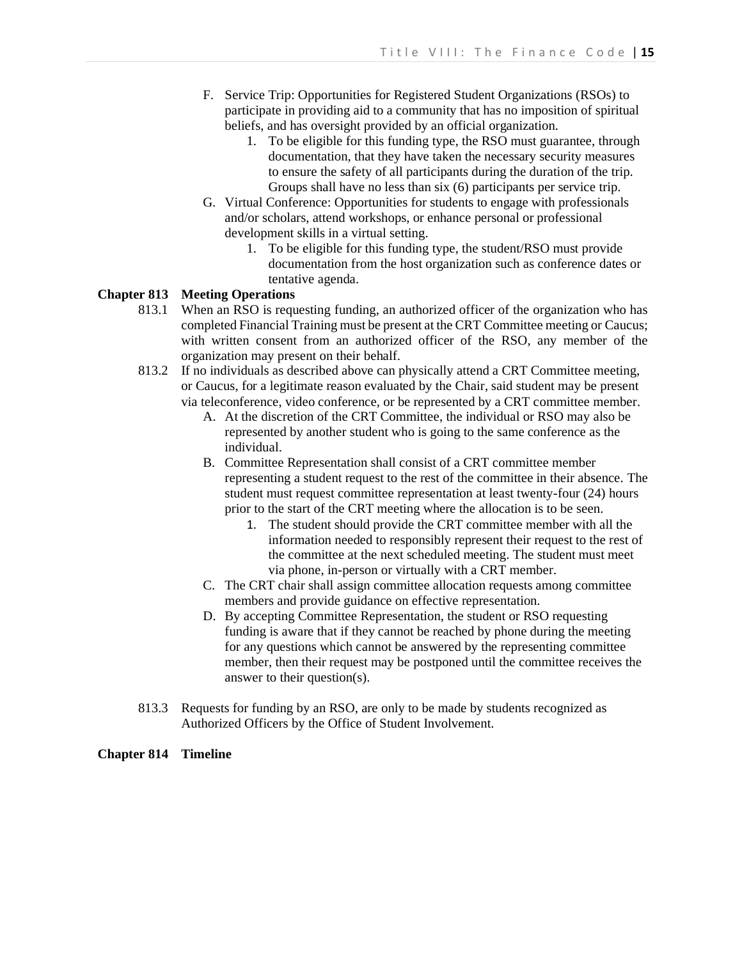- F. Service Trip: Opportunities for Registered Student Organizations (RSOs) to participate in providing aid to a community that has no imposition of spiritual beliefs, and has oversight provided by an official organization.
	- 1. To be eligible for this funding type, the RSO must guarantee, through documentation, that they have taken the necessary security measures to ensure the safety of all participants during the duration of the trip. Groups shall have no less than six (6) participants per service trip.
- G. Virtual Conference: Opportunities for students to engage with professionals and/or scholars, attend workshops, or enhance personal or professional development skills in a virtual setting.
	- 1. To be eligible for this funding type, the student/RSO must provide documentation from the host organization such as conference dates or tentative agenda.

# **Chapter 813 Meeting Operations**

- 813.1 When an RSO is requesting funding, an authorized officer of the organization who has completed Financial Training must be present at the CRT Committee meeting or Caucus; with written consent from an authorized officer of the RSO, any member of the organization may present on their behalf.
- 813.2 If no individuals as described above can physically attend a CRT Committee meeting, or Caucus, for a legitimate reason evaluated by the Chair, said student may be present via teleconference, video conference, or be represented by a CRT committee member.
	- A. At the discretion of the CRT Committee, the individual or RSO may also be represented by another student who is going to the same conference as the individual.
	- B. Committee Representation shall consist of a CRT committee member representing a student request to the rest of the committee in their absence. The student must request committee representation at least twenty-four (24) hours prior to the start of the CRT meeting where the allocation is to be seen.
		- 1. The student should provide the CRT committee member with all the information needed to responsibly represent their request to the rest of the committee at the next scheduled meeting. The student must meet via phone, in-person or virtually with a CRT member.
	- C. The CRT chair shall assign committee allocation requests among committee members and provide guidance on effective representation.
	- D. By accepting Committee Representation, the student or RSO requesting funding is aware that if they cannot be reached by phone during the meeting for any questions which cannot be answered by the representing committee member, then their request may be postponed until the committee receives the answer to their question(s).
- 813.3 Requests for funding by an RSO, are only to be made by students recognized as Authorized Officers by the Office of Student Involvement.

# **Chapter 814 Timeline**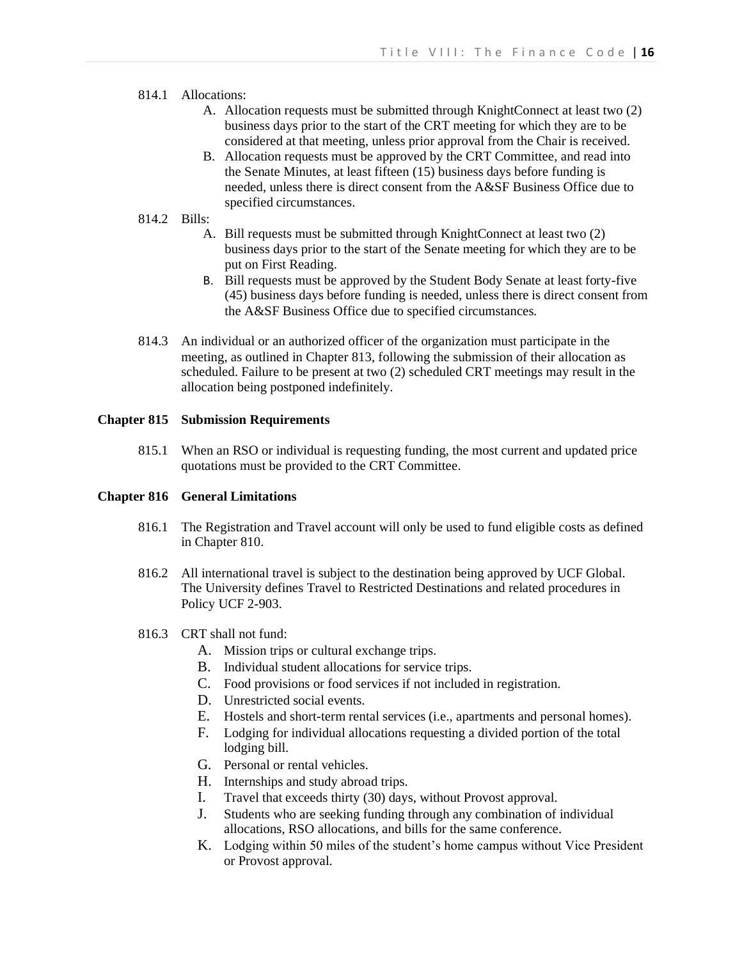# 814.1 Allocations:

- A. Allocation requests must be submitted through KnightConnect at least two (2) business days prior to the start of the CRT meeting for which they are to be considered at that meeting, unless prior approval from the Chair is received.
- B. Allocation requests must be approved by the CRT Committee, and read into the Senate Minutes, at least fifteen (15) business days before funding is needed, unless there is direct consent from the A&SF Business Office due to specified circumstances.

# 814.2 Bills:

- A. Bill requests must be submitted through KnightConnect at least two (2) business days prior to the start of the Senate meeting for which they are to be put on First Reading.
- B. Bill requests must be approved by the Student Body Senate at least forty-five (45) business days before funding is needed, unless there is direct consent from the A&SF Business Office due to specified circumstances.
- 814.3 An individual or an authorized officer of the organization must participate in the meeting, as outlined in Chapter 813, following the submission of their allocation as scheduled. Failure to be present at two (2) scheduled CRT meetings may result in the allocation being postponed indefinitely.

# **Chapter 815 Submission Requirements**

815.1 When an RSO or individual is requesting funding, the most current and updated price quotations must be provided to the CRT Committee.

# **Chapter 816 General Limitations**

- 816.1 The Registration and Travel account will only be used to fund eligible costs as defined in Chapter 810.
- 816.2 All international travel is subject to the destination being approved by UCF Global. The University defines Travel to Restricted Destinations and related procedures in Policy UCF 2-903.
- 816.3 CRT shall not fund:
	- A. Mission trips or cultural exchange trips.
	- B. Individual student allocations for service trips.
	- C. Food provisions or food services if not included in registration.
	- D. Unrestricted social events.
	- E. Hostels and short-term rental services (i.e., apartments and personal homes).
	- F. Lodging for individual allocations requesting a divided portion of the total lodging bill.
	- G. Personal or rental vehicles.
	- H. Internships and study abroad trips.
	- I. Travel that exceeds thirty (30) days, without Provost approval.
	- J. Students who are seeking funding through any combination of individual allocations, RSO allocations, and bills for the same conference.
	- K. Lodging within 50 miles of the student's home campus without Vice President or Provost approval.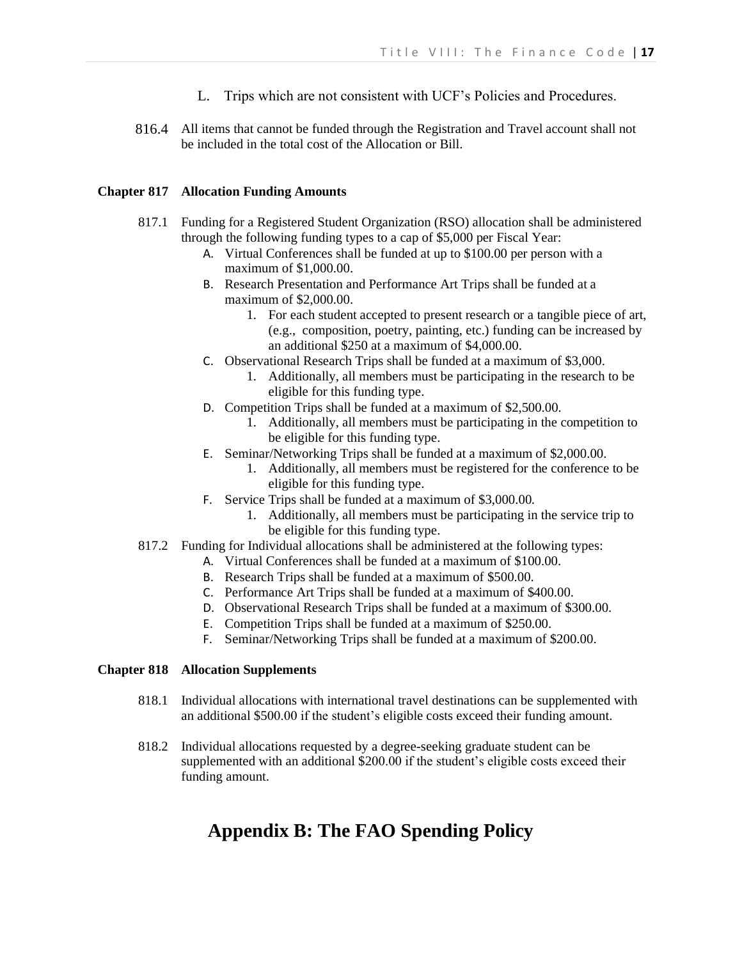- L. Trips which are not consistent with UCF's Policies and Procedures.
- 816.4 All items that cannot be funded through the Registration and Travel account shall not be included in the total cost of the Allocation or Bill.

# **Chapter 817 Allocation Funding Amounts**

- 817.1 Funding for a Registered Student Organization (RSO) allocation shall be administered through the following funding types to a cap of \$5,000 per Fiscal Year:
	- A. Virtual Conferences shall be funded at up to \$100.00 per person with a maximum of \$1,000.00.
	- B. Research Presentation and Performance Art Trips shall be funded at a maximum of \$2,000.00.
		- 1. For each student accepted to present research or a tangible piece of art, (e.g., composition, poetry, painting, etc.) funding can be increased by an additional \$250 at a maximum of \$4,000.00.
	- C. Observational Research Trips shall be funded at a maximum of \$3,000.
		- 1. Additionally, all members must be participating in the research to be eligible for this funding type.
	- D. Competition Trips shall be funded at a maximum of \$2,500.00.
		- 1. Additionally, all members must be participating in the competition to be eligible for this funding type.
	- E. Seminar/Networking Trips shall be funded at a maximum of \$2,000.00.
		- 1. Additionally, all members must be registered for the conference to be eligible for this funding type.
	- F. Service Trips shall be funded at a maximum of \$3,000.00.
		- 1. Additionally, all members must be participating in the service trip to be eligible for this funding type.
- 817.2 Funding for Individual allocations shall be administered at the following types:
	- A. Virtual Conferences shall be funded at a maximum of \$100.00.
	- B. Research Trips shall be funded at a maximum of \$500.00.
	- C. Performance Art Trips shall be funded at a maximum of \$400.00.
	- D. Observational Research Trips shall be funded at a maximum of \$300.00.
	- E. Competition Trips shall be funded at a maximum of \$250.00.
	- F. Seminar/Networking Trips shall be funded at a maximum of \$200.00.

# **Chapter 818 Allocation Supplements**

- 818.1 Individual allocations with international travel destinations can be supplemented with an additional \$500.00 if the student's eligible costs exceed their funding amount.
- 818.2 Individual allocations requested by a degree-seeking graduate student can be supplemented with an additional \$200.00 if the student's eligible costs exceed their funding amount.

# **Appendix B: The FAO Spending Policy**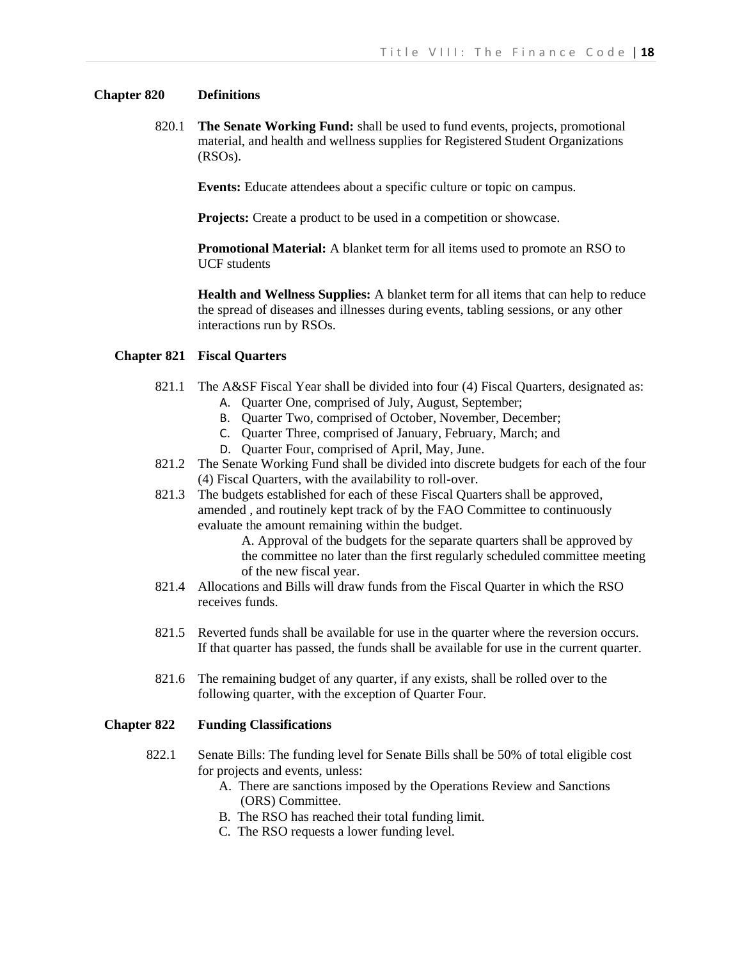# **Chapter 820 Definitions**

820.1 **The Senate Working Fund:** shall be used to fund events, projects, promotional material, and health and wellness supplies for Registered Student Organizations (RSOs).

**Events:** Educate attendees about a specific culture or topic on campus.

**Projects:** Create a product to be used in a competition or showcase.

**Promotional Material:** A blanket term for all items used to promote an RSO to UCF students

**Health and Wellness Supplies:** A blanket term for all items that can help to reduce the spread of diseases and illnesses during events, tabling sessions, or any other interactions run by RSOs.

## **Chapter 821 Fiscal Quarters**

- 821.1 The A&SF Fiscal Year shall be divided into four (4) Fiscal Quarters, designated as:
	- A. Quarter One, comprised of July, August, September;
	- B. Quarter Two, comprised of October, November, December;
	- C. Quarter Three, comprised of January, February, March; and
	- D. Quarter Four, comprised of April, May, June.
- 821.2 The Senate Working Fund shall be divided into discrete budgets for each of the four (4) Fiscal Quarters, with the availability to roll-over.
- 821.3 The budgets established for each of these Fiscal Quarters shall be approved, amended , and routinely kept track of by the FAO Committee to continuously evaluate the amount remaining within the budget.

A. Approval of the budgets for the separate quarters shall be approved by the committee no later than the first regularly scheduled committee meeting of the new fiscal year.

- 821.4 Allocations and Bills will draw funds from the Fiscal Quarter in which the RSO receives funds.
- 821.5 Reverted funds shall be available for use in the quarter where the reversion occurs. If that quarter has passed, the funds shall be available for use in the current quarter.
- 821.6 The remaining budget of any quarter, if any exists, shall be rolled over to the following quarter, with the exception of Quarter Four.

#### **Chapter 822 Funding Classifications**

- 822.1 Senate Bills: The funding level for Senate Bills shall be 50% of total eligible cost for projects and events, unless:
	- A. There are sanctions imposed by the Operations Review and Sanctions (ORS) Committee.
	- B. The RSO has reached their total funding limit.
	- C. The RSO requests a lower funding level.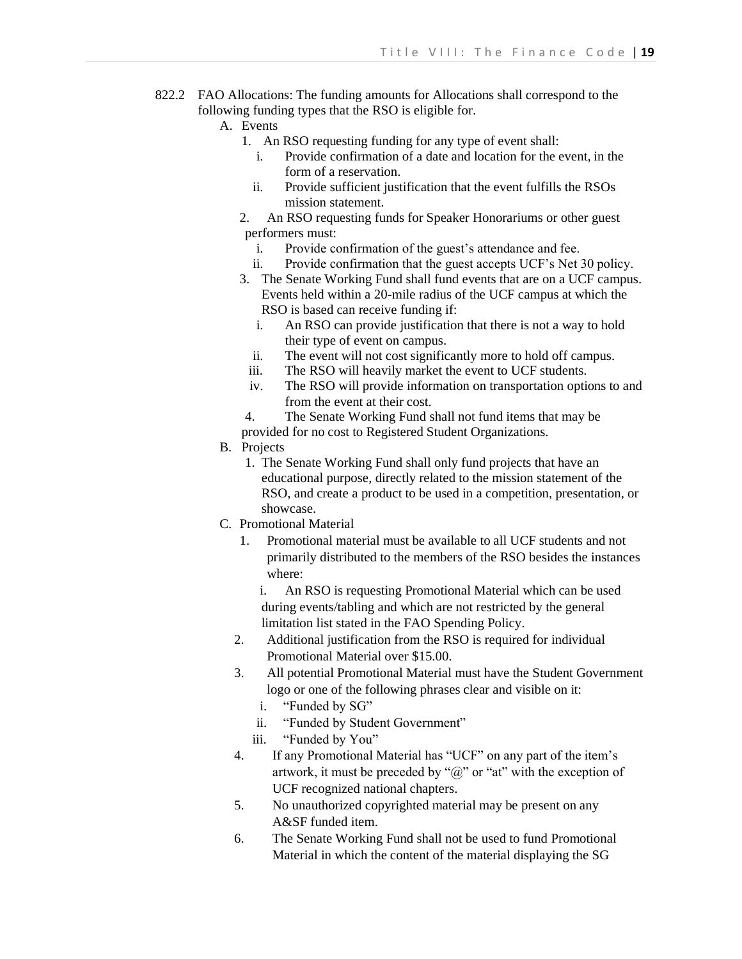- 822.2 FAO Allocations: The funding amounts for Allocations shall correspond to the following funding types that the RSO is eligible for.
	- A. Events
		- 1. An RSO requesting funding for any type of event shall:
			- i. Provide confirmation of a date and location for the event, in the form of a reservation.
			- ii. Provide sufficient justification that the event fulfills the RSOs mission statement.
		- 2. An RSO requesting funds for Speaker Honorariums or other guest performers must:
			- i. Provide confirmation of the guest's attendance and fee.
			- ii. Provide confirmation that the guest accepts UCF's Net 30 policy.
		- 3. The Senate Working Fund shall fund events that are on a UCF campus. Events held within a 20-mile radius of the UCF campus at which the RSO is based can receive funding if:
			- i. An RSO can provide justification that there is not a way to hold their type of event on campus.
			- ii. The event will not cost significantly more to hold off campus.
			- iii. The RSO will heavily market the event to UCF students.
			- iv. The RSO will provide information on transportation options to and from the event at their cost.
		- 4. The Senate Working Fund shall not fund items that may be
		- provided for no cost to Registered Student Organizations.
	- B. Projects
		- 1. The Senate Working Fund shall only fund projects that have an educational purpose, directly related to the mission statement of the RSO, and create a product to be used in a competition, presentation, or showcase.
	- C. Promotional Material
		- 1. Promotional material must be available to all UCF students and not primarily distributed to the members of the RSO besides the instances where:
			- i. An RSO is requesting Promotional Material which can be used during events/tabling and which are not restricted by the general limitation list stated in the FAO Spending Policy.
		- 2. Additional justification from the RSO is required for individual Promotional Material over \$15.00.
		- 3. All potential Promotional Material must have the Student Government logo or one of the following phrases clear and visible on it:
			- i. "Funded by SG"
			- ii. "Funded by Student Government"
			- iii. "Funded by You"
		- 4. If any Promotional Material has "UCF" on any part of the item's artwork, it must be preceded by " $(a)$ " or "at" with the exception of UCF recognized national chapters.
		- 5. No unauthorized copyrighted material may be present on any A&SF funded item.
		- 6. The Senate Working Fund shall not be used to fund Promotional Material in which the content of the material displaying the SG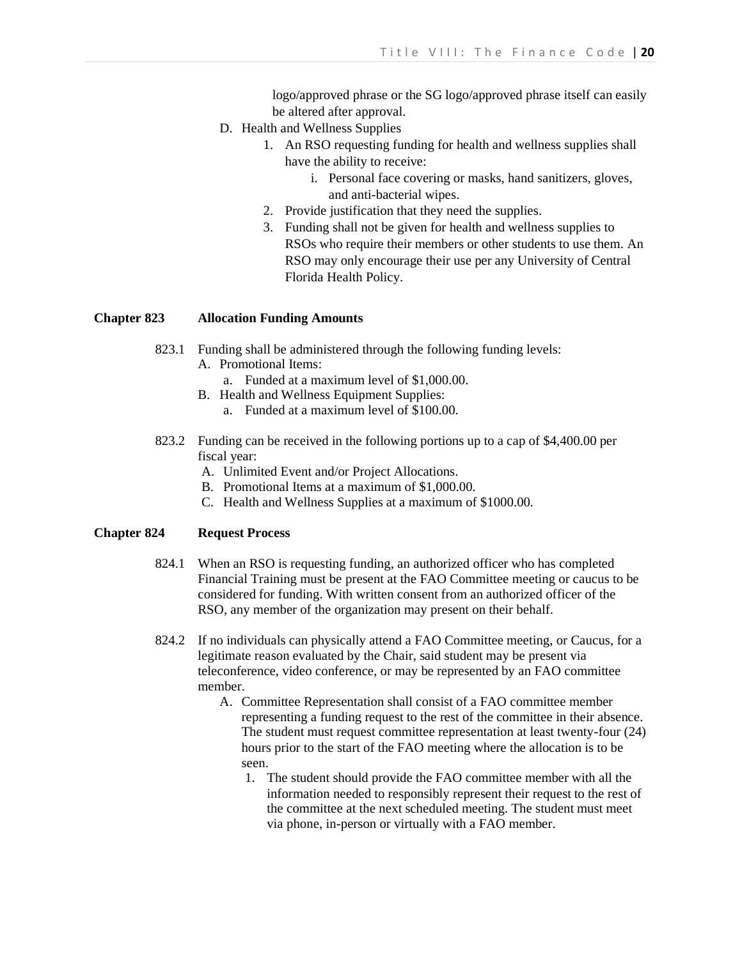logo/approved phrase or the SG logo/approved phrase itself can easily be altered after approval.

- D. Health and Wellness Supplies
	- 1. An RSO requesting funding for health and wellness supplies shall have the ability to receive:
		- i. Personal face covering or masks, hand sanitizers, gloves, and anti-bacterial wipes.
	- 2. Provide justification that they need the supplies.
	- 3. Funding shall not be given for health and wellness supplies to RSOs who require their members or other students to use them. An RSO may only encourage their use per any University of Central Florida Health Policy.

#### **Chapter 823 Allocation Funding Amounts**

- 823.1 Funding shall be administered through the following funding levels:
	- A. Promotional Items:
		- a. Funded at a maximum level of \$1,000.00.
	- B. Health and Wellness Equipment Supplies:
		- a. Funded at a maximum level of \$100.00.
- 823.2 Funding can be received in the following portions up to a cap of \$4,400.00 per fiscal year:
	- A. Unlimited Event and/or Project Allocations.
	- B. Promotional Items at a maximum of \$1,000.00.
	- C. Health and Wellness Supplies at a maximum of \$1000.00.

#### **Chapter 824 Request Process**

- 824.1 When an RSO is requesting funding, an authorized officer who has completed Financial Training must be present at the FAO Committee meeting or caucus to be considered for funding. With written consent from an authorized officer of the RSO, any member of the organization may present on their behalf.
- 824.2 If no individuals can physically attend a FAO Committee meeting, or Caucus, for a legitimate reason evaluated by the Chair, said student may be present via teleconference, video conference, or may be represented by an FAO committee member.
	- A. Committee Representation shall consist of a FAO committee member representing a funding request to the rest of the committee in their absence. The student must request committee representation at least twenty-four (24) hours prior to the start of the FAO meeting where the allocation is to be seen.
		- 1. The student should provide the FAO committee member with all the information needed to responsibly represent their request to the rest of the committee at the next scheduled meeting. The student must meet via phone, in-person or virtually with a FAO member.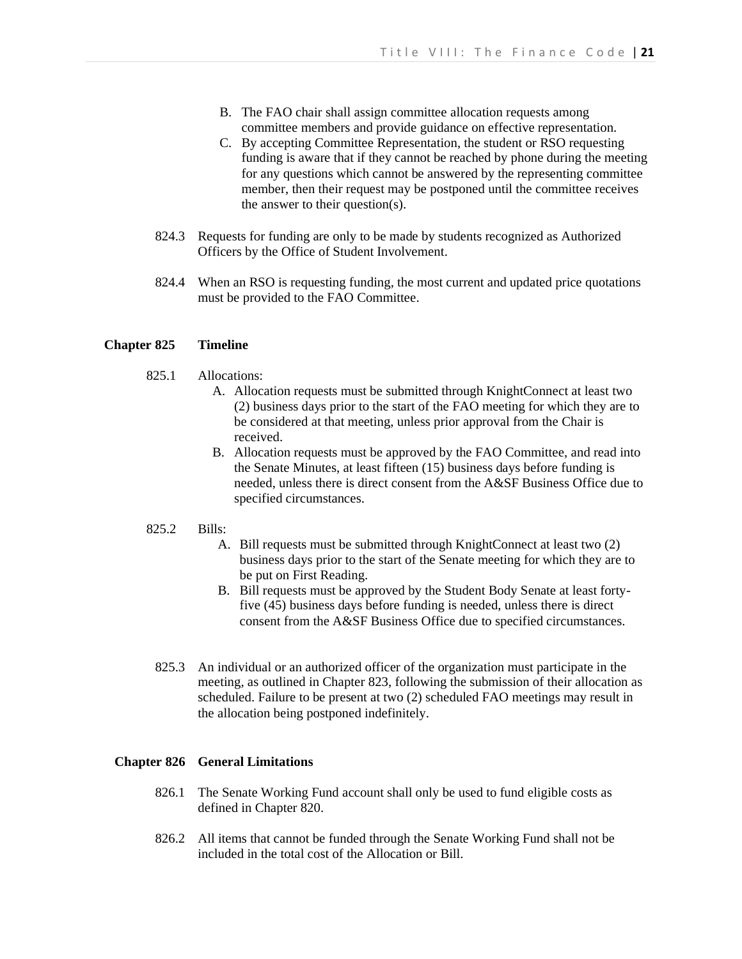- B. The FAO chair shall assign committee allocation requests among committee members and provide guidance on effective representation.
- C. By accepting Committee Representation, the student or RSO requesting funding is aware that if they cannot be reached by phone during the meeting for any questions which cannot be answered by the representing committee member, then their request may be postponed until the committee receives the answer to their question(s).
- 824.3 Requests for funding are only to be made by students recognized as Authorized Officers by the Office of Student Involvement.
- 824.4 When an RSO is requesting funding, the most current and updated price quotations must be provided to the FAO Committee.

#### **Chapter 825 Timeline**

- 825.1 Allocations:
	- A. Allocation requests must be submitted through KnightConnect at least two (2) business days prior to the start of the FAO meeting for which they are to be considered at that meeting, unless prior approval from the Chair is received.
	- B. Allocation requests must be approved by the FAO Committee, and read into the Senate Minutes, at least fifteen (15) business days before funding is needed, unless there is direct consent from the A&SF Business Office due to specified circumstances.

#### 825.2 Bills:

- A. Bill requests must be submitted through KnightConnect at least two (2) business days prior to the start of the Senate meeting for which they are to be put on First Reading.
- B. Bill requests must be approved by the Student Body Senate at least fortyfive (45) business days before funding is needed, unless there is direct consent from the A&SF Business Office due to specified circumstances.
- 825.3 An individual or an authorized officer of the organization must participate in the meeting, as outlined in Chapter 823, following the submission of their allocation as scheduled. Failure to be present at two (2) scheduled FAO meetings may result in the allocation being postponed indefinitely.

#### **Chapter 826 General Limitations**

- 826.1 The Senate Working Fund account shall only be used to fund eligible costs as defined in Chapter 820.
- 826.2 All items that cannot be funded through the Senate Working Fund shall not be included in the total cost of the Allocation or Bill.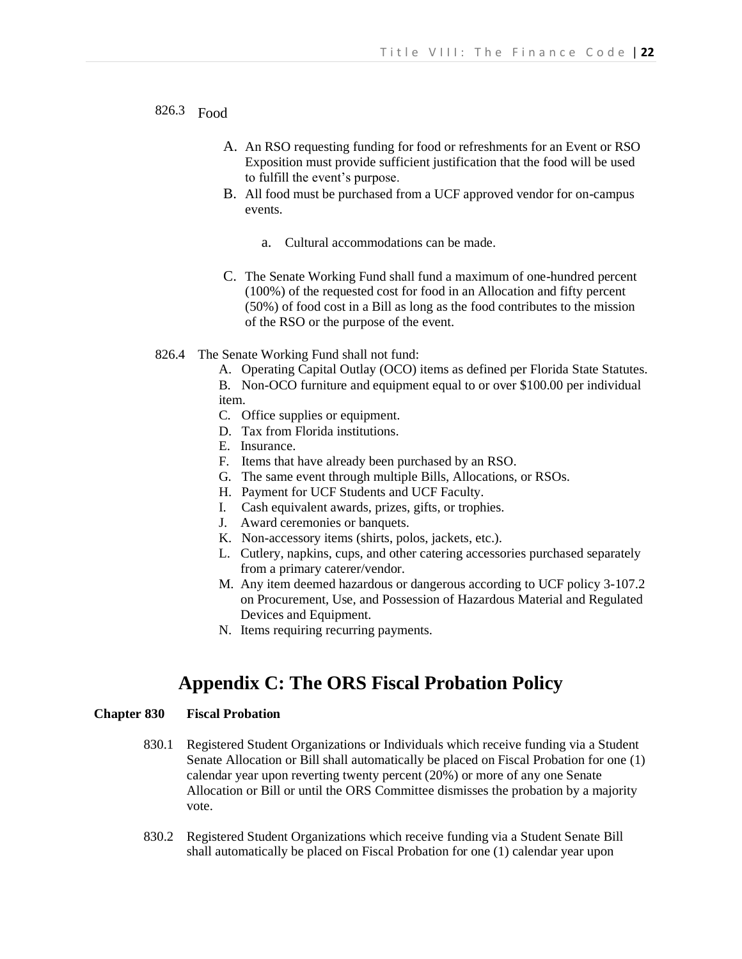826.3 Food

- A. An RSO requesting funding for food or refreshments for an Event or RSO Exposition must provide sufficient justification that the food will be used to fulfill the event's purpose.
- B. All food must be purchased from a UCF approved vendor for on-campus events.
	- a. Cultural accommodations can be made.
- C. The Senate Working Fund shall fund a maximum of one-hundred percent (100%) of the requested cost for food in an Allocation and fifty percent (50%) of food cost in a Bill as long as the food contributes to the mission of the RSO or the purpose of the event.
- 826.4 The Senate Working Fund shall not fund:
	- A. Operating Capital Outlay (OCO) items as defined per Florida State Statutes. B. Non-OCO furniture and equipment equal to or over \$100.00 per individual item.
	- C. Office supplies or equipment.
	- D. Tax from Florida institutions.
	- E. Insurance.
	- F. Items that have already been purchased by an RSO.
	- G. The same event through multiple Bills, Allocations, or RSOs.
	- H. Payment for UCF Students and UCF Faculty.
	- I. Cash equivalent awards, prizes, gifts, or trophies.
	- J. Award ceremonies or banquets.
	- K. Non-accessory items (shirts, polos, jackets, etc.).
	- L. Cutlery, napkins, cups, and other catering accessories purchased separately from a primary caterer/vendor.
	- M. Any item deemed hazardous or dangerous according to UCF policy 3-107.2 on Procurement, Use, and Possession of Hazardous Material and Regulated Devices and Equipment.
	- N. Items requiring recurring payments.

# **Appendix C: The ORS Fiscal Probation Policy**

# **Chapter 830 Fiscal Probation**

- 830.1 Registered Student Organizations or Individuals which receive funding via a Student Senate Allocation or Bill shall automatically be placed on Fiscal Probation for one (1) calendar year upon reverting twenty percent (20%) or more of any one Senate Allocation or Bill or until the ORS Committee dismisses the probation by a majority vote.
- 830.2 Registered Student Organizations which receive funding via a Student Senate Bill shall automatically be placed on Fiscal Probation for one (1) calendar year upon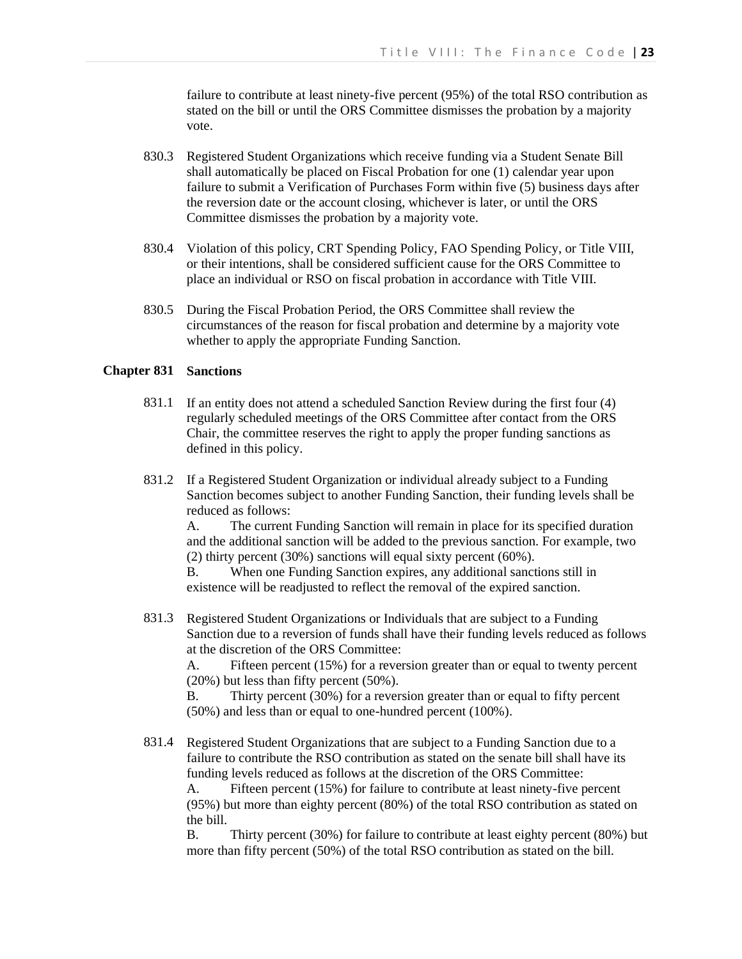failure to contribute at least ninety-five percent (95%) of the total RSO contribution as stated on the bill or until the ORS Committee dismisses the probation by a majority vote.

- 830.3 Registered Student Organizations which receive funding via a Student Senate Bill shall automatically be placed on Fiscal Probation for one (1) calendar year upon failure to submit a Verification of Purchases Form within five (5) business days after the reversion date or the account closing, whichever is later, or until the ORS Committee dismisses the probation by a majority vote.
- 830.4 Violation of this policy, CRT Spending Policy, FAO Spending Policy, or Title VIII, or their intentions, shall be considered sufficient cause for the ORS Committee to place an individual or RSO on fiscal probation in accordance with Title VIII.
- 830.5 During the Fiscal Probation Period, the ORS Committee shall review the circumstances of the reason for fiscal probation and determine by a majority vote whether to apply the appropriate Funding Sanction.

#### **Chapter 831 Sanctions**

- 831.1 If an entity does not attend a scheduled Sanction Review during the first four (4) regularly scheduled meetings of the ORS Committee after contact from the ORS Chair, the committee reserves the right to apply the proper funding sanctions as defined in this policy.
- 831.2 If a Registered Student Organization or individual already subject to a Funding Sanction becomes subject to another Funding Sanction, their funding levels shall be reduced as follows:

A. The current Funding Sanction will remain in place for its specified duration and the additional sanction will be added to the previous sanction. For example, two (2) thirty percent (30%) sanctions will equal sixty percent (60%).

B. When one Funding Sanction expires, any additional sanctions still in existence will be readjusted to reflect the removal of the expired sanction.

831.3 Registered Student Organizations or Individuals that are subject to a Funding Sanction due to a reversion of funds shall have their funding levels reduced as follows at the discretion of the ORS Committee:

A. Fifteen percent (15%) for a reversion greater than or equal to twenty percent (20%) but less than fifty percent (50%).

B. Thirty percent (30%) for a reversion greater than or equal to fifty percent (50%) and less than or equal to one-hundred percent (100%).

831.4 Registered Student Organizations that are subject to a Funding Sanction due to a failure to contribute the RSO contribution as stated on the senate bill shall have its funding levels reduced as follows at the discretion of the ORS Committee:

A. Fifteen percent (15%) for failure to contribute at least ninety-five percent (95%) but more than eighty percent (80%) of the total RSO contribution as stated on the bill.

B. Thirty percent (30%) for failure to contribute at least eighty percent (80%) but more than fifty percent (50%) of the total RSO contribution as stated on the bill.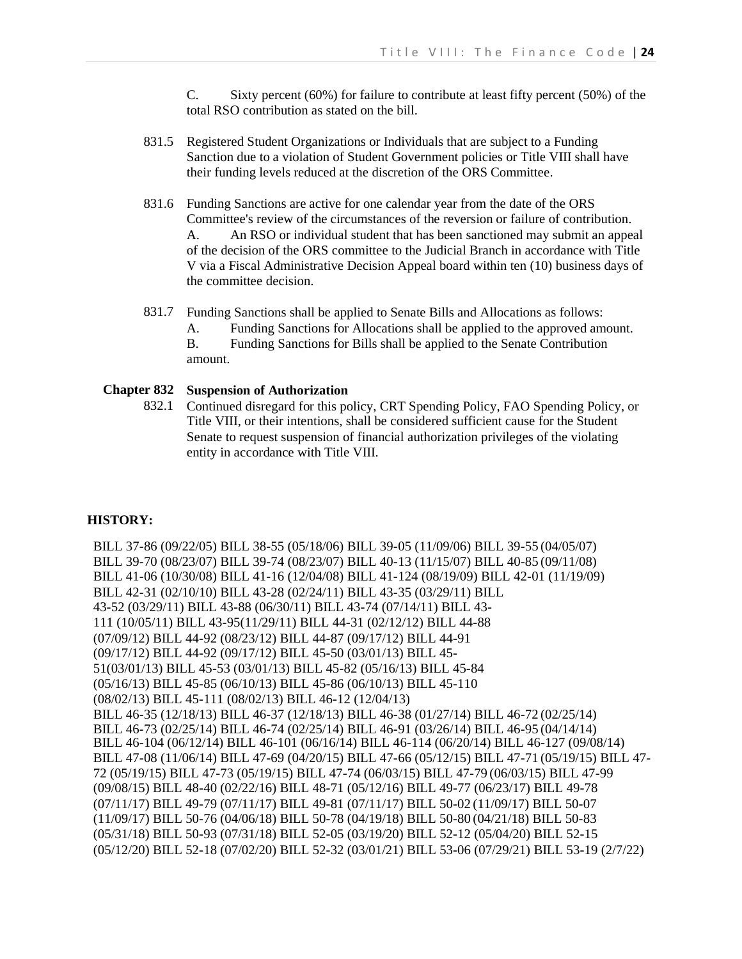C. Sixty percent (60%) for failure to contribute at least fifty percent (50%) of the total RSO contribution as stated on the bill.

- 831.5 Registered Student Organizations or Individuals that are subject to a Funding Sanction due to a violation of Student Government policies or Title VIII shall have their funding levels reduced at the discretion of the ORS Committee.
- 831.6 Funding Sanctions are active for one calendar year from the date of the ORS Committee's review of the circumstances of the reversion or failure of contribution. A. An RSO or individual student that has been sanctioned may submit an appeal of the decision of the ORS committee to the Judicial Branch in accordance with Title V via a Fiscal Administrative Decision Appeal board within ten (10) business days of the committee decision.
- 831.7 Funding Sanctions shall be applied to Senate Bills and Allocations as follows:
	- A. Funding Sanctions for Allocations shall be applied to the approved amount.

B. Funding Sanctions for Bills shall be applied to the Senate Contribution amount.

# **Chapter 832 Suspension of Authorization**

832.1 Continued disregard for this policy, CRT Spending Policy, FAO Spending Policy, or Title VIII, or their intentions, shall be considered sufficient cause for the Student Senate to request suspension of financial authorization privileges of the violating entity in accordance with Title VIII.

# **HISTORY:**

BILL 37-86 (09/22/05) BILL 38-55 (05/18/06) BILL 39-05 (11/09/06) BILL 39-55 (04/05/07) BILL 39-70 (08/23/07) BILL 39-74 (08/23/07) BILL 40-13 (11/15/07) BILL 40-85 (09/11/08) BILL 41-06 (10/30/08) BILL 41-16 (12/04/08) BILL 41-124 (08/19/09) BILL 42-01 (11/19/09) BILL 42-31 (02/10/10) BILL 43-28 (02/24/11) BILL 43-35 (03/29/11) BILL 43-52 (03/29/11) BILL 43-88 (06/30/11) BILL 43-74 (07/14/11) BILL 43- 111 (10/05/11) BILL 43-95(11/29/11) BILL 44-31 (02/12/12) BILL 44-88 (07/09/12) BILL 44-92 (08/23/12) BILL 44-87 (09/17/12) BILL 44-91 (09/17/12) BILL 44-92 (09/17/12) BILL 45-50 (03/01/13) BILL 45- 51(03/01/13) BILL 45-53 (03/01/13) BILL 45-82 (05/16/13) BILL 45-84 (05/16/13) BILL 45-85 (06/10/13) BILL 45-86 (06/10/13) BILL 45-110 (08/02/13) BILL 45-111 (08/02/13) BILL 46-12 (12/04/13) BILL 46-35 (12/18/13) BILL 46-37 (12/18/13) BILL 46-38 (01/27/14) BILL 46-72 (02/25/14) BILL 46-73 (02/25/14) BILL 46-74 (02/25/14) BILL 46-91 (03/26/14) BILL 46-95 (04/14/14) BILL 46-104 (06/12/14) BILL 46-101 (06/16/14) BILL 46-114 (06/20/14) BILL 46-127 (09/08/14) BILL 47-08 (11/06/14) BILL 47-69 (04/20/15) BILL 47-66 (05/12/15) BILL 47-71 (05/19/15) BILL 47- 72 (05/19/15) BILL 47-73 (05/19/15) BILL 47-74 (06/03/15) BILL 47-79 (06/03/15) BILL 47-99 (09/08/15) BILL 48-40 (02/22/16) BILL 48-71 (05/12/16) BILL 49-77 (06/23/17) BILL 49-78 (07/11/17) BILL 49-79 (07/11/17) BILL 49-81 (07/11/17) BILL 50-02 (11/09/17) BILL 50-07 (11/09/17) BILL 50-76 (04/06/18) BILL 50-78 (04/19/18) BILL 50-80 (04/21/18) BILL 50-83 (05/31/18) BILL 50-93 (07/31/18) BILL 52-05 (03/19/20) BILL 52-12 (05/04/20) BILL 52-15 (05/12/20) BILL 52-18 (07/02/20) BILL 52-32 (03/01/21) BILL 53-06 (07/29/21) BILL 53-19 (2/7/22)